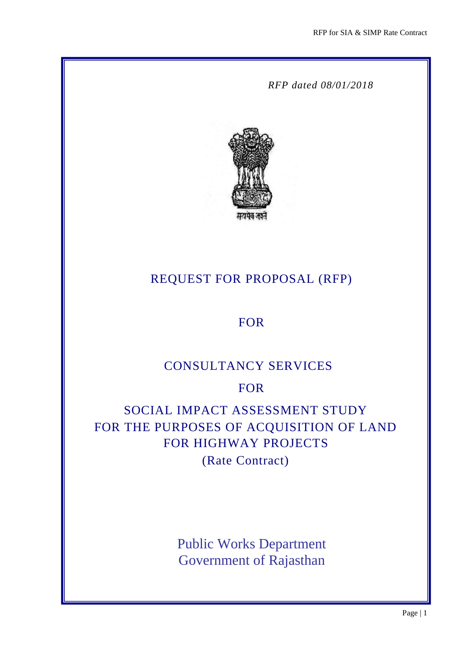*RFP dated 08/01/2018*



# REQUEST FOR PROPOSAL (RFP)

# FOR

# CONSULTANCY SERVICES

# FOR

# SOCIAL IMPACT ASSESSMENT STUDY FOR THE PURPOSES OF ACQUISITION OF LAND FOR HIGHWAY PROJECTS

(Rate Contract)

Public Works Department Government of Rajasthan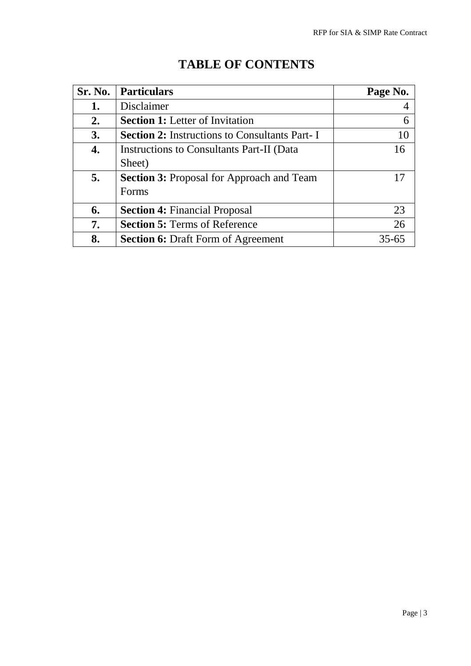| Sr. No. | <b>Particulars</b>                                   | Page No. |
|---------|------------------------------------------------------|----------|
| 1.      | Disclaimer                                           |          |
| 2.      | <b>Section 1:</b> Letter of Invitation               | 6        |
| 3.      | <b>Section 2:</b> Instructions to Consultants Part-I | 10       |
| 4.      | Instructions to Consultants Part-II (Data            | 16       |
|         | Sheet)                                               |          |
| 5.      | <b>Section 3:</b> Proposal for Approach and Team     |          |
|         | Forms                                                |          |
| 6.      | <b>Section 4: Financial Proposal</b>                 | 23       |
| 7.      | <b>Section 5: Terms of Reference</b>                 | 26       |
| 8.      | <b>Section 6: Draft Form of Agreement</b>            | 35-65    |

# **TABLE OF CONTENTS**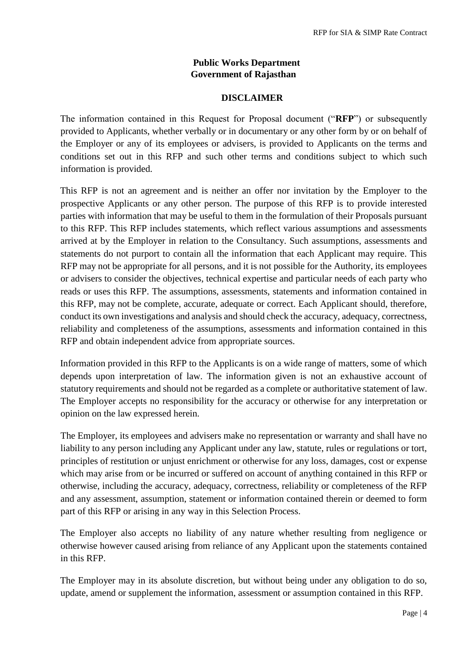## **Public Works Department Government of Rajasthan**

#### **DISCLAIMER**

The information contained in this Request for Proposal document ("**RFP**") or subsequently provided to Applicants, whether verbally or in documentary or any other form by or on behalf of the Employer or any of its employees or advisers, is provided to Applicants on the terms and conditions set out in this RFP and such other terms and conditions subject to which such information is provided.

This RFP is not an agreement and is neither an offer nor invitation by the Employer to the prospective Applicants or any other person. The purpose of this RFP is to provide interested parties with information that may be useful to them in the formulation of their Proposals pursuant to this RFP. This RFP includes statements, which reflect various assumptions and assessments arrived at by the Employer in relation to the Consultancy. Such assumptions, assessments and statements do not purport to contain all the information that each Applicant may require. This RFP may not be appropriate for all persons, and it is not possible for the Authority, its employees or advisers to consider the objectives, technical expertise and particular needs of each party who reads or uses this RFP. The assumptions, assessments, statements and information contained in this RFP, may not be complete, accurate, adequate or correct. Each Applicant should, therefore, conduct its own investigations and analysis and should check the accuracy, adequacy, correctness, reliability and completeness of the assumptions, assessments and information contained in this RFP and obtain independent advice from appropriate sources.

Information provided in this RFP to the Applicants is on a wide range of matters, some of which depends upon interpretation of law. The information given is not an exhaustive account of statutory requirements and should not be regarded as a complete or authoritative statement of law. The Employer accepts no responsibility for the accuracy or otherwise for any interpretation or opinion on the law expressed herein.

The Employer, its employees and advisers make no representation or warranty and shall have no liability to any person including any Applicant under any law, statute, rules or regulations or tort, principles of restitution or unjust enrichment or otherwise for any loss, damages, cost or expense which may arise from or be incurred or suffered on account of anything contained in this RFP or otherwise, including the accuracy, adequacy, correctness, reliability or completeness of the RFP and any assessment, assumption, statement or information contained therein or deemed to form part of this RFP or arising in any way in this Selection Process.

The Employer also accepts no liability of any nature whether resulting from negligence or otherwise however caused arising from reliance of any Applicant upon the statements contained in this RFP.

The Employer may in its absolute discretion, but without being under any obligation to do so, update, amend or supplement the information, assessment or assumption contained in this RFP.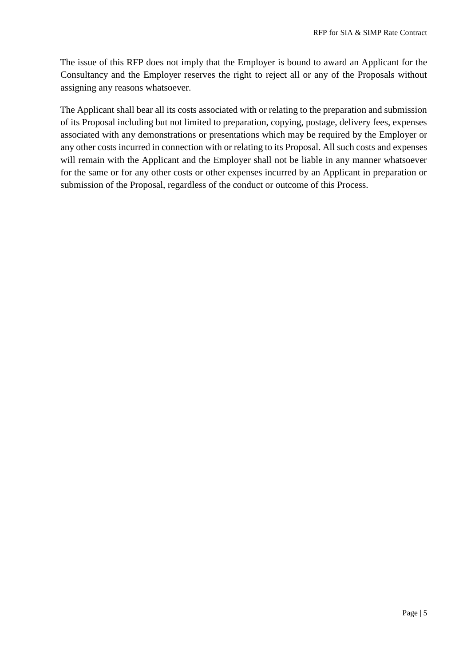The issue of this RFP does not imply that the Employer is bound to award an Applicant for the Consultancy and the Employer reserves the right to reject all or any of the Proposals without assigning any reasons whatsoever.

The Applicant shall bear all its costs associated with or relating to the preparation and submission of its Proposal including but not limited to preparation, copying, postage, delivery fees, expenses associated with any demonstrations or presentations which may be required by the Employer or any other costs incurred in connection with or relating to its Proposal. All such costs and expenses will remain with the Applicant and the Employer shall not be liable in any manner whatsoever for the same or for any other costs or other expenses incurred by an Applicant in preparation or submission of the Proposal, regardless of the conduct or outcome of this Process.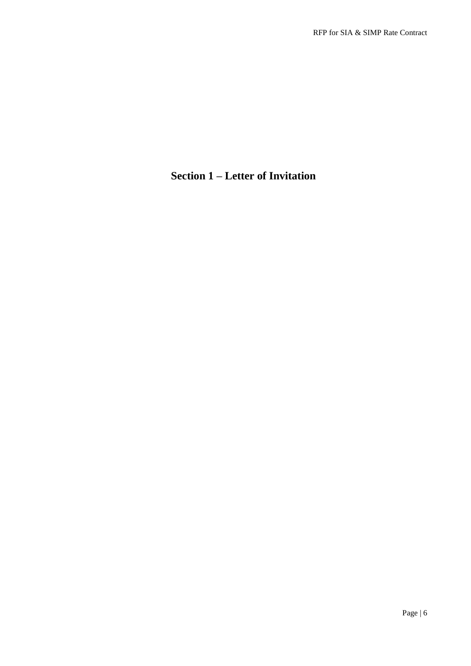# **Section 1 – Letter of Invitation**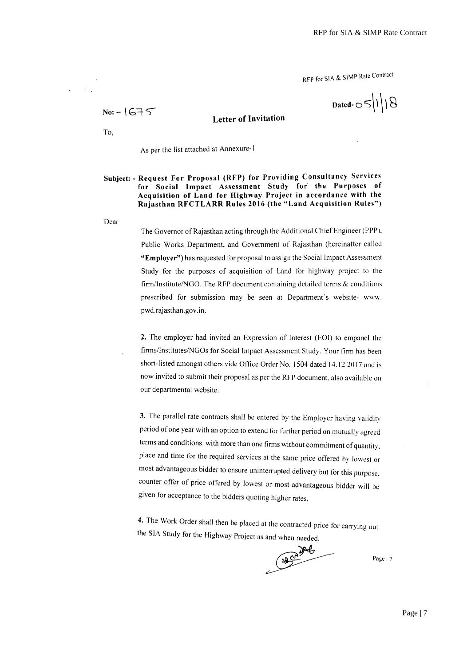RFP for SIA & SIMP Rate Contract

Dated- $\circ$ 5/1/18

#### **Letter of Invitation**

To,

 $No: -1675$ 

 $\sim$  20  $^\circ$ 

As per the list attached at Annexure-1

#### Subject: - Request For Proposal (RFP) for Providing Consultancy Services for Social Impact Assessment Study for the Purposes of Acquisition of Land for Highway Project in accordance with the Rajasthan RFCTLARR Rules 2016 (the "Land Acquisition Rules")

Dear

The Governor of Rajasthan acting through the Additional Chief Engineer (PPP). Public Works Department, and Government of Rajasthan (hereinafter called "Employer") has requested for proposal to assign the Social Impact Assessment Study for the purposes of acquisition of Land for highway project to the firm/Institute/NGO. The RFP document containing detailed terms  $\&$  conditions prescribed for submission may be seen at Department's website-www. pwd.rajasthan.gov.in.

2. The employer had invited an Expression of Interest (EOI) to empanel the firms/Institutes/NGOs for Social Impact Assessment Study. Your firm has been short-listed amongst others vide Office Order No. 1504 dated 14.12.2017 and is now invited to submit their proposal as per the RFP document, also available on our departmental website.

3. The parallel rate contracts shall be entered by the Employer having validity period of one year with an option to extend for further period on mutually agreed terms and conditions, with more than one firms without commitment of quantity, place and time for the required services at the same price offered by lowest or most advantageous bidder to ensure uninterrupted delivery but for this purpose, counter offer of price offered by lowest or most advantageous bidder will be given for acceptance to the bidders quoting higher rates.

4. The Work Order shall then be placed at the contracted price for carrying out the SIA Study for the Highway Project as and when needed.

 $400 + 6$ 

Page | 7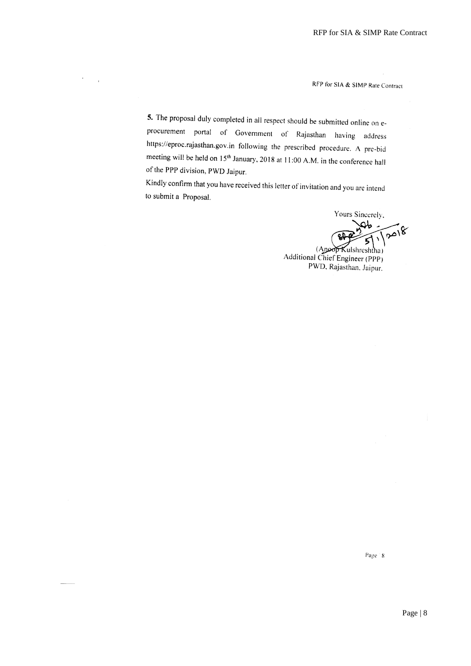RFP for SIA & SIMP Rate Contract

5. The proposal duly completed in all respect should be submitted online on eprocurement portal of Government of Rajasthan having address https://eproc.rajasthan.gov.in following the prescribed procedure. A pre-bid meeting will be held on 15<sup>th</sup> January, 2018 at 11:00 A.M. in the conference hall of the PPP division, PWD Jaipur.

Kindly confirm that you have received this letter of invitation and you are intend to submit a Proposal.

> Yours Sincerely, Qb  $\sqrt{8}$  $\lambda$ (Anoop Kulshreshtha)<br>Additional Chief Engineer (PPP) PWD, Rajasthan, Jaipur.

> > Page 8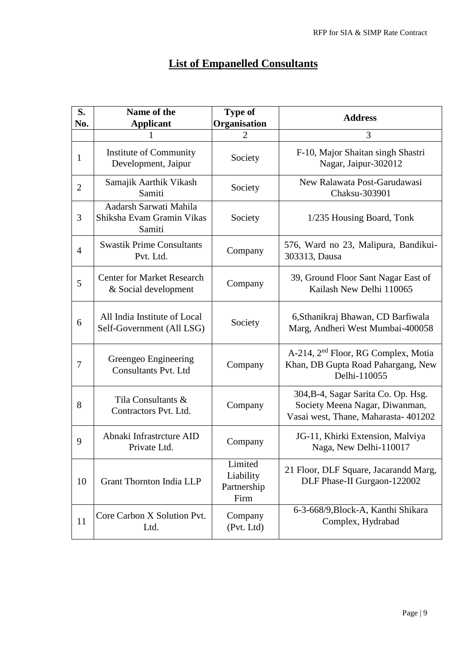| <b>List of Empanelled Consultants</b> |  |  |
|---------------------------------------|--|--|
|                                       |  |  |

| S.<br>No.      | Name of the<br><b>Applicant</b>                               | <b>Type of</b><br>Organisation              | <b>Address</b>                                                                                                |
|----------------|---------------------------------------------------------------|---------------------------------------------|---------------------------------------------------------------------------------------------------------------|
|                |                                                               | 2                                           | 3                                                                                                             |
| $\mathbf{1}$   | Institute of Community<br>Development, Jaipur                 | Society                                     | F-10, Major Shaitan singh Shastri<br>Nagar, Jaipur-302012                                                     |
| $\overline{2}$ | Samajik Aarthik Vikash<br>Samiti                              | Society                                     | New Ralawata Post-Garudawasi<br>Chaksu-303901                                                                 |
| 3              | Aadarsh Sarwati Mahila<br>Shiksha Evam Gramin Vikas<br>Samiti | Society                                     | 1/235 Housing Board, Tonk                                                                                     |
| $\overline{4}$ | <b>Swastik Prime Consultants</b><br>Pvt. Ltd.                 | Company                                     | 576, Ward no 23, Malipura, Bandikui-<br>303313, Dausa                                                         |
| 5              | <b>Center for Market Research</b><br>& Social development     | Company                                     | 39, Ground Floor Sant Nagar East of<br>Kailash New Delhi 110065                                               |
| 6              | All India Institute of Local<br>Self-Government (All LSG)     | Society                                     | 6, Sthanikraj Bhawan, CD Barfiwala<br>Marg, Andheri West Mumbai-400058                                        |
| 7              | Greengeo Engineering<br><b>Consultants Pvt. Ltd</b>           | Company                                     | A-214, 2 <sup>nd</sup> Floor, RG Complex, Motia<br>Khan, DB Gupta Road Pahargang, New<br>Delhi-110055         |
| 8              | Tila Consultants &<br>Contractors Pvt. Ltd.                   | Company                                     | 304, B-4, Sagar Sarita Co. Op. Hsg.<br>Society Meena Nagar, Diwanman,<br>Vasai west, Thane, Maharasta- 401202 |
| 9              | Abnaki Infrastrcture AID<br>Private Ltd.                      | Company                                     | JG-11, Khirki Extension, Malviya<br>Naga, New Delhi-110017                                                    |
| 10             | <b>Grant Thornton India LLP</b>                               | Limited<br>Liability<br>Partnership<br>Firm | 21 Floor, DLF Square, Jacarandd Marg,<br>DLF Phase-II Gurgaon-122002                                          |
| 11             | Core Carbon X Solution Pvt.<br>Ltd.                           | Company<br>(Pvt. Ltd)                       | 6-3-668/9, Block-A, Kanthi Shikara<br>Complex, Hydrabad                                                       |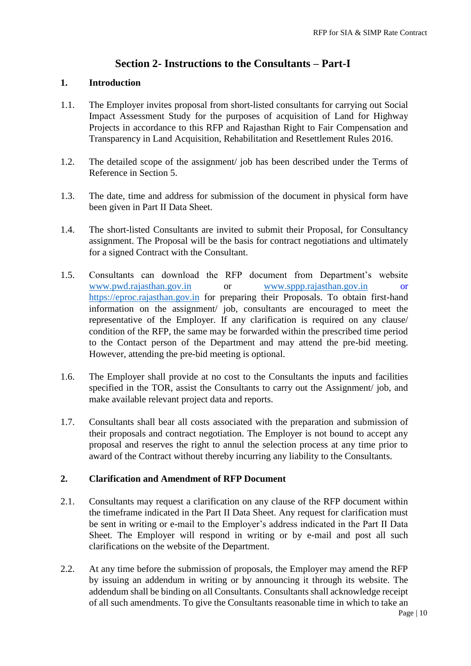# **Section 2- Instructions to the Consultants – Part-I**

#### **1. Introduction**

- 1.1. The Employer invites proposal from short-listed consultants for carrying out Social Impact Assessment Study for the purposes of acquisition of Land for Highway Projects in accordance to this RFP and Rajasthan Right to Fair Compensation and Transparency in Land Acquisition, Rehabilitation and Resettlement Rules 2016.
- 1.2. The detailed scope of the assignment/ job has been described under the Terms of Reference in Section 5.
- 1.3. The date, time and address for submission of the document in physical form have been given in Part II Data Sheet.
- 1.4. The short-listed Consultants are invited to submit their Proposal, for Consultancy assignment. The Proposal will be the basis for contract negotiations and ultimately for a signed Contract with the Consultant.
- 1.5. Consultants can download the RFP document from Department's website [www.pwd.rajasthan.gov.in](http://www.pwd.rajasthan.gov.in/) or [www.sppp.rajasthan.gov.in](http://www.sppp.rajasthan.gov.in/) or [https://eproc.rajasthan.gov.in](https://eproc.rajasthan.gov.in/) for preparing their Proposals. To obtain first-hand information on the assignment/ job, consultants are encouraged to meet the representative of the Employer. If any clarification is required on any clause/ condition of the RFP, the same may be forwarded within the prescribed time period to the Contact person of the Department and may attend the pre-bid meeting. However, attending the pre-bid meeting is optional.
- 1.6. The Employer shall provide at no cost to the Consultants the inputs and facilities specified in the TOR, assist the Consultants to carry out the Assignment/ job, and make available relevant project data and reports.
- 1.7. Consultants shall bear all costs associated with the preparation and submission of their proposals and contract negotiation. The Employer is not bound to accept any proposal and reserves the right to annul the selection process at any time prior to award of the Contract without thereby incurring any liability to the Consultants.

#### **2. Clarification and Amendment of RFP Document**

- 2.1. Consultants may request a clarification on any clause of the RFP document within the timeframe indicated in the Part II Data Sheet. Any request for clarification must be sent in writing or e-mail to the Employer's address indicated in the Part II Data Sheet. The Employer will respond in writing or by e-mail and post all such clarifications on the website of the Department.
- 2.2. At any time before the submission of proposals, the Employer may amend the RFP by issuing an addendum in writing or by announcing it through its website. The addendum shall be binding on all Consultants. Consultants shall acknowledge receipt of all such amendments. To give the Consultants reasonable time in which to take an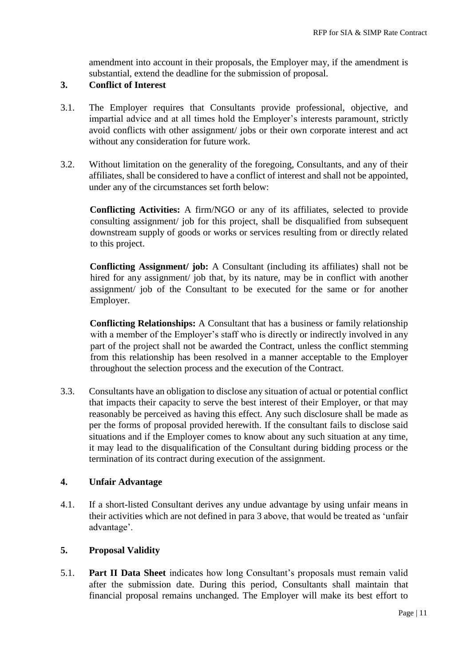amendment into account in their proposals, the Employer may, if the amendment is substantial, extend the deadline for the submission of proposal.

#### **3. Conflict of Interest**

- 3.1. The Employer requires that Consultants provide professional, objective, and impartial advice and at all times hold the Employer's interests paramount, strictly avoid conflicts with other assignment/ jobs or their own corporate interest and act without any consideration for future work.
- 3.2. Without limitation on the generality of the foregoing, Consultants, and any of their affiliates, shall be considered to have a conflict of interest and shall not be appointed, under any of the circumstances set forth below:

**Conflicting Activities:** A firm/NGO or any of its affiliates, selected to provide consulting assignment/ job for this project, shall be disqualified from subsequent downstream supply of goods or works or services resulting from or directly related to this project.

**Conflicting Assignment/ job:** A Consultant (including its affiliates) shall not be hired for any assignment/ job that, by its nature, may be in conflict with another assignment/ job of the Consultant to be executed for the same or for another Employer.

**Conflicting Relationships:** A Consultant that has a business or family relationship with a member of the Employer's staff who is directly or indirectly involved in any part of the project shall not be awarded the Contract, unless the conflict stemming from this relationship has been resolved in a manner acceptable to the Employer throughout the selection process and the execution of the Contract.

3.3. Consultants have an obligation to disclose any situation of actual or potential conflict that impacts their capacity to serve the best interest of their Employer, or that may reasonably be perceived as having this effect. Any such disclosure shall be made as per the forms of proposal provided herewith. If the consultant fails to disclose said situations and if the Employer comes to know about any such situation at any time, it may lead to the disqualification of the Consultant during bidding process or the termination of its contract during execution of the assignment.

#### **4. Unfair Advantage**

4.1. If a short-listed Consultant derives any undue advantage by using unfair means in their activities which are not defined in para 3 above, that would be treated as 'unfair advantage'.

#### **5. Proposal Validity**

5.1. **Part II Data Sheet** indicates how long Consultant's proposals must remain valid after the submission date. During this period, Consultants shall maintain that financial proposal remains unchanged. The Employer will make its best effort to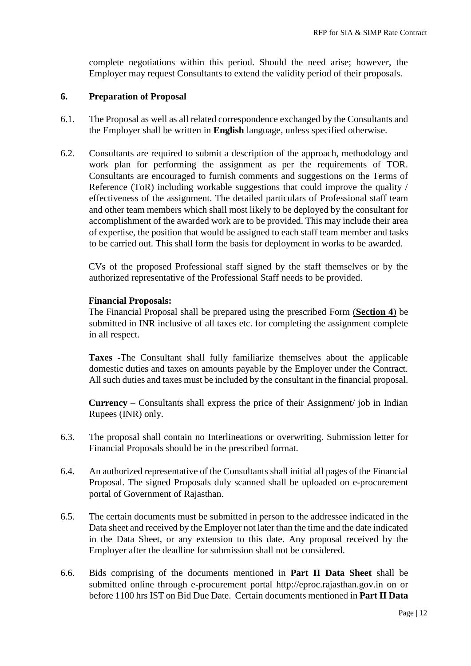complete negotiations within this period. Should the need arise; however, the Employer may request Consultants to extend the validity period of their proposals.

#### **6. Preparation of Proposal**

- 6.1. The Proposal as well as all related correspondence exchanged by the Consultants and the Employer shall be written in **English** language, unless specified otherwise.
- 6.2. Consultants are required to submit a description of the approach, methodology and work plan for performing the assignment as per the requirements of TOR. Consultants are encouraged to furnish comments and suggestions on the Terms of Reference (ToR) including workable suggestions that could improve the quality / effectiveness of the assignment. The detailed particulars of Professional staff team and other team members which shall most likely to be deployed by the consultant for accomplishment of the awarded work are to be provided. This may include their area of expertise, the position that would be assigned to each staff team member and tasks to be carried out. This shall form the basis for deployment in works to be awarded.

CVs of the proposed Professional staff signed by the staff themselves or by the authorized representative of the Professional Staff needs to be provided.

#### **Financial Proposals:**

The Financial Proposal shall be prepared using the prescribed Form (**Section 4**) be submitted in INR inclusive of all taxes etc. for completing the assignment complete in all respect.

**Taxes -**The Consultant shall fully familiarize themselves about the applicable domestic duties and taxes on amounts payable by the Employer under the Contract. All such duties and taxes must be included by the consultant in the financial proposal.

**Currency –** Consultants shall express the price of their Assignment/ job in Indian Rupees (INR) only.

- 6.3. The proposal shall contain no Interlineations or overwriting. Submission letter for Financial Proposals should be in the prescribed format.
- 6.4. An authorized representative of the Consultants shall initial all pages of the Financial Proposal. The signed Proposals duly scanned shall be uploaded on e-procurement portal of Government of Rajasthan.
- 6.5. The certain documents must be submitted in person to the addressee indicated in the Data sheet and received by the Employer not later than the time and the date indicated in the Data Sheet, or any extension to this date. Any proposal received by the Employer after the deadline for submission shall not be considered.
- 6.6. Bids comprising of the documents mentioned in **Part II Data Sheet** shall be submitted online through e-procurement portal http://eproc.rajasthan.gov.in on or before 1100 hrs IST on Bid Due Date. Certain documents mentioned in **Part II Data**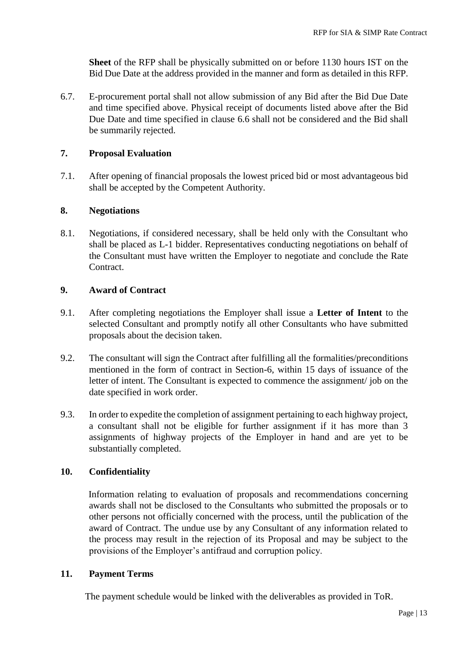**Sheet** of the RFP shall be physically submitted on or before 1130 hours IST on the Bid Due Date at the address provided in the manner and form as detailed in this RFP.

6.7. E-procurement portal shall not allow submission of any Bid after the Bid Due Date and time specified above. Physical receipt of documents listed above after the Bid Due Date and time specified in clause 6.6 shall not be considered and the Bid shall be summarily rejected.

#### **7. Proposal Evaluation**

7.1. After opening of financial proposals the lowest priced bid or most advantageous bid shall be accepted by the Competent Authority.

#### **8. Negotiations**

8.1. Negotiations, if considered necessary, shall be held only with the Consultant who shall be placed as L-1 bidder. Representatives conducting negotiations on behalf of the Consultant must have written the Employer to negotiate and conclude the Rate **Contract** 

#### **9. Award of Contract**

- 9.1. After completing negotiations the Employer shall issue a **Letter of Intent** to the selected Consultant and promptly notify all other Consultants who have submitted proposals about the decision taken.
- 9.2. The consultant will sign the Contract after fulfilling all the formalities/preconditions mentioned in the form of contract in Section-6, within 15 days of issuance of the letter of intent. The Consultant is expected to commence the assignment/ job on the date specified in work order.
- 9.3. In order to expedite the completion of assignment pertaining to each highway project, a consultant shall not be eligible for further assignment if it has more than 3 assignments of highway projects of the Employer in hand and are yet to be substantially completed.

### **10. Confidentiality**

Information relating to evaluation of proposals and recommendations concerning awards shall not be disclosed to the Consultants who submitted the proposals or to other persons not officially concerned with the process, until the publication of the award of Contract. The undue use by any Consultant of any information related to the process may result in the rejection of its Proposal and may be subject to the provisions of the Employer's antifraud and corruption policy.

#### **11. Payment Terms**

The payment schedule would be linked with the deliverables as provided in ToR.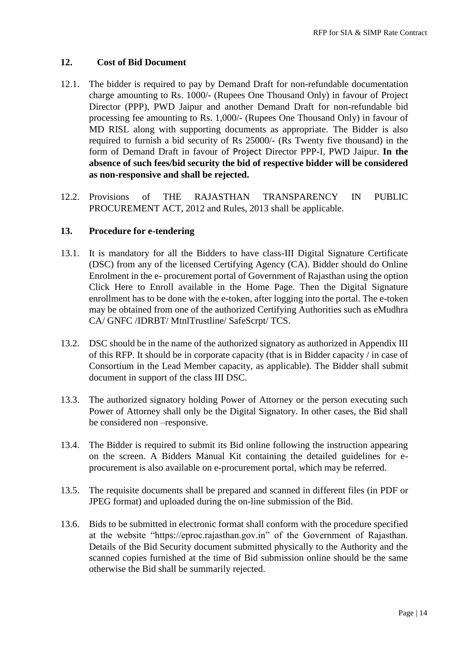#### **12. Cost of Bid Document**

- 12.1. The bidder is required to pay by Demand Draft for non-refundable documentation charge amounting to Rs. 1000/- (Rupees One Thousand Only) in favour of Project Director (PPP), PWD Jaipur and another Demand Draft for non-refundable bid processing fee amounting to Rs. 1,000/- (Rupees One Thousand Only) in favour of MD RISL along with supporting documents as appropriate. The Bidder is also required to furnish a bid security of Rs 25000/- (Rs Twenty five thousand) in the form of Demand Draft in favour of Project Director PPP-I, PWD Jaipur. **In the absence of such fees/bid security the bid of respective bidder will be considered as non-responsive and shall be rejected.**
- 12.2. Provisions of THE RAJASTHAN TRANSPARENCY IN PUBLIC PROCUREMENT ACT, 2012 and Rules, 2013 shall be applicable.

#### **13. Procedure for e-tendering**

- 13.1. It is mandatory for all the Bidders to have class-III Digital Signature Certificate (DSC) from any of the licensed Certifying Agency (CA). Bidder should do Online Enrolment in the e- procurement portal of Government of Rajasthan using the option Click Here to Enroll available in the Home Page. Then the Digital Signature enrollment has to be done with the e-token, after logging into the portal. The e-token may be obtained from one of the authorized Certifying Authorities such as eMudhra CA/ GNFC /IDRBT/ MtnlTrustline/ SafeScrpt/ TCS.
- 13.2. DSC should be in the name of the authorized signatory as authorized in Appendix III of this RFP. It should be in corporate capacity (that is in Bidder capacity / in case of Consortium in the Lead Member capacity, as applicable). The Bidder shall submit document in support of the class III DSC.
- 13.3. The authorized signatory holding Power of Attorney or the person executing such Power of Attorney shall only be the Digital Signatory. In other cases, the Bid shall be considered non –responsive.
- 13.4. The Bidder is required to submit its Bid online following the instruction appearing on the screen. A Bidders Manual Kit containing the detailed guidelines for eprocurement is also available on e-procurement portal, which may be referred.
- 13.5. The requisite documents shall be prepared and scanned in different files (in PDF or JPEG format) and uploaded during the on-line submission of the Bid.
- 13.6. Bids to be submitted in electronic format shall conform with the procedure specified at the website "https://eproc.rajasthan.gov.in" of the Government of Rajasthan. Details of the Bid Security document submitted physically to the Authority and the scanned copies furnished at the time of Bid submission online should be the same otherwise the Bid shall be summarily rejected.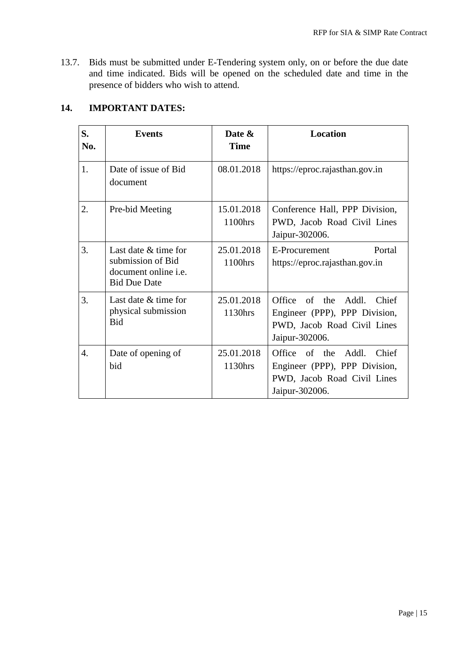13.7. Bids must be submitted under E-Tendering system only, on or before the due date and time indicated. Bids will be opened on the scheduled date and time in the presence of bidders who wish to attend.

## **14. IMPORTANT DATES:**

| S.<br>No. | <b>Events</b>                                                                                   | Date &<br><b>Time</b> | <b>Location</b>                                                                                                   |
|-----------|-------------------------------------------------------------------------------------------------|-----------------------|-------------------------------------------------------------------------------------------------------------------|
| 1.        | Date of issue of Bid<br>document                                                                | 08.01.2018            | https://eproc.rajasthan.gov.in                                                                                    |
| 2.        | Pre-bid Meeting                                                                                 | 15.01.2018<br>1100hrs | Conference Hall, PPP Division,<br>PWD, Jacob Road Civil Lines<br>Jaipur-302006.                                   |
| 3.        | Last date & time for<br>submission of Bid<br>document online <i>i.e.</i><br><b>Bid Due Date</b> | 25.01.2018<br>1100hrs | E-Procurement<br>Portal<br>https://eproc.rajasthan.gov.in                                                         |
| 3.        | Last date $&$ time for<br>physical submission<br>Bid                                            | 25.01.2018<br>1130hrs | Office of the Addl. Chief<br>Engineer (PPP), PPP Division,<br>PWD, Jacob Road Civil Lines<br>Jaipur-302006.       |
| 4.        | Date of opening of<br>bid                                                                       | 25.01.2018<br>1130hrs | Office of the<br>Addl.<br>Chief<br>Engineer (PPP), PPP Division,<br>PWD, Jacob Road Civil Lines<br>Jaipur-302006. |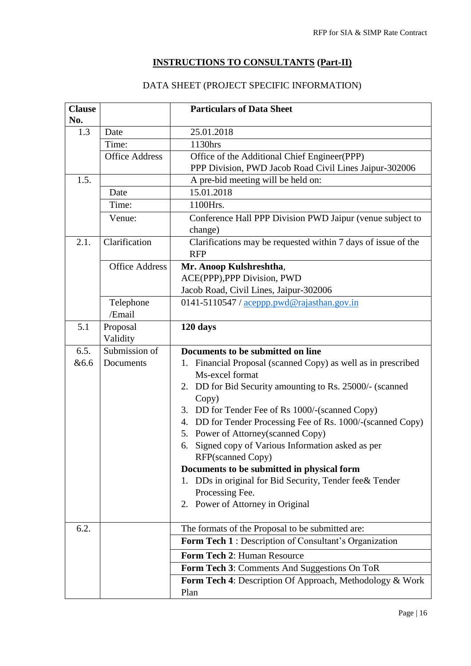# **INSTRUCTIONS TO CONSULTANTS (Part-II)**

# DATA SHEET (PROJECT SPECIFIC INFORMATION)

| <b>Clause</b><br>No. |                       | <b>Particulars of Data Sheet</b>                                                    |
|----------------------|-----------------------|-------------------------------------------------------------------------------------|
| 1.3                  | Date                  | 25.01.2018                                                                          |
|                      | Time:                 | 1130hrs                                                                             |
|                      | <b>Office Address</b> | Office of the Additional Chief Engineer(PPP)                                        |
|                      |                       | PPP Division, PWD Jacob Road Civil Lines Jaipur-302006                              |
| 1.5.                 |                       | A pre-bid meeting will be held on:                                                  |
|                      | Date                  | 15.01.2018                                                                          |
|                      | Time:                 | 1100Hrs.                                                                            |
|                      | Venue:                | Conference Hall PPP Division PWD Jaipur (venue subject to                           |
|                      |                       | change)                                                                             |
| 2.1.                 | Clarification         | Clarifications may be requested within 7 days of issue of the                       |
|                      |                       | <b>RFP</b>                                                                          |
|                      | <b>Office Address</b> | Mr. Anoop Kulshreshtha,                                                             |
|                      |                       | ACE(PPP), PPP Division, PWD                                                         |
|                      |                       | Jacob Road, Civil Lines, Jaipur-302006                                              |
|                      | Telephone<br>/Email   | 0141-5110547 / aceppp.pwd@rajasthan.gov.in                                          |
| 5.1                  | Proposal              | 120 days                                                                            |
|                      | Validity              |                                                                                     |
| 6.5.                 | Submission of         | Documents to be submitted on line                                                   |
| <b>&amp;6.6</b>      | Documents             | Financial Proposal (scanned Copy) as well as in prescribed<br>1.<br>Ms-excel format |
|                      |                       | 2. DD for Bid Security amounting to Rs. 25000/- (scanned<br>Copy)                   |
|                      |                       | DD for Tender Fee of Rs 1000/-(scanned Copy)<br>3.                                  |
|                      |                       | DD for Tender Processing Fee of Rs. 1000/-(scanned Copy)<br>4.                      |
|                      |                       | Power of Attorney(scanned Copy)<br>5.                                               |
|                      |                       | Signed copy of Various Information asked as per<br>6.                               |
|                      |                       | RFP(scanned Copy)                                                                   |
|                      |                       | Documents to be submitted in physical form                                          |
|                      |                       | DDs in original for Bid Security, Tender fee& Tender<br>1.                          |
|                      |                       | Processing Fee.                                                                     |
|                      |                       | 2. Power of Attorney in Original                                                    |
| 6.2.                 |                       | The formats of the Proposal to be submitted are:                                    |
|                      |                       | Form Tech 1 : Description of Consultant's Organization                              |
|                      |                       | Form Tech 2: Human Resource                                                         |
|                      |                       | Form Tech 3: Comments And Suggestions On ToR                                        |
|                      |                       | Form Tech 4: Description Of Approach, Methodology & Work                            |
|                      |                       | Plan                                                                                |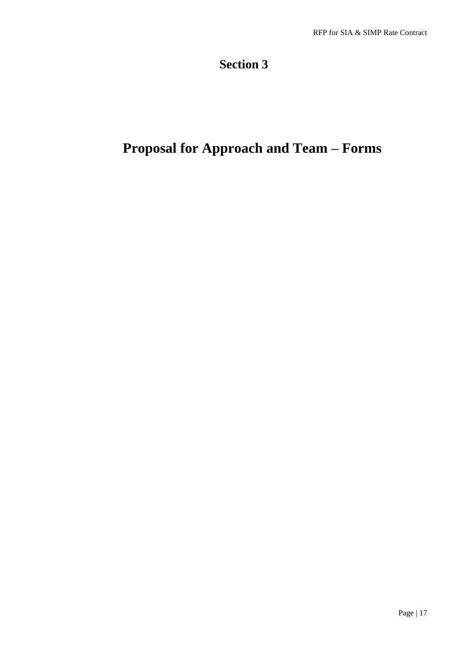# **Section 3**

# **Proposal for Approach and Team – Forms**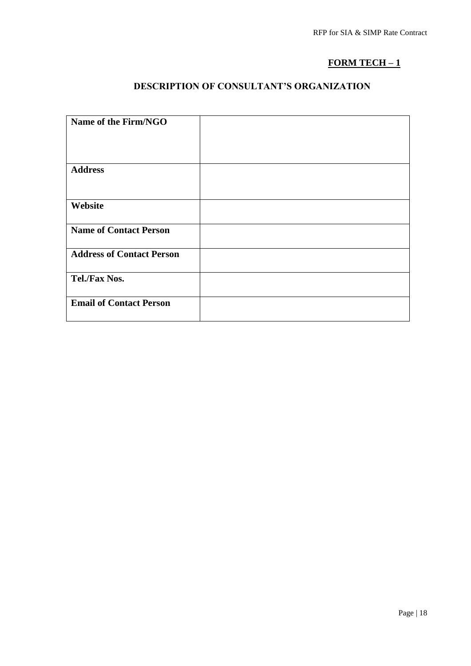# **FORM TECH – 1**

# **DESCRIPTION OF CONSULTANT'S ORGANIZATION**

| Name of the Firm/NGO             |  |
|----------------------------------|--|
| <b>Address</b>                   |  |
| Website                          |  |
| <b>Name of Contact Person</b>    |  |
| <b>Address of Contact Person</b> |  |
| Tel./Fax Nos.                    |  |
| <b>Email of Contact Person</b>   |  |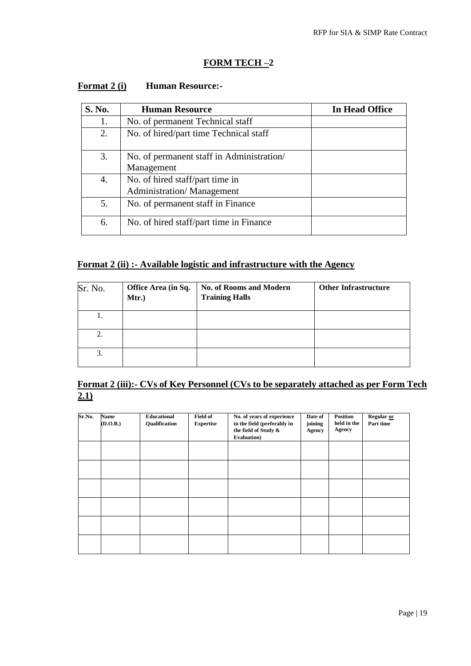### **FORM TECH –2**

| S. No. | <b>Human Resource</b>                                        | In Head Office |
|--------|--------------------------------------------------------------|----------------|
| 1.     | No. of permanent Technical staff                             |                |
| 2.     | No. of hired/part time Technical staff                       |                |
| 3.     | No. of permanent staff in Administration/<br>Management      |                |
| 4.     | No. of hired staff/part time in<br>Administration/Management |                |
| 5.     | No. of permanent staff in Finance                            |                |
| 6.     | No. of hired staff/part time in Finance                      |                |

## **Format 2 (i)** Human Resource:-

### **Format 2 (ii) :- Available logistic and infrastructure with the Agency**

| Sr. No. | Office Area (in Sq.<br>Mtr.) | No. of Rooms and Modern<br><b>Training Halls</b> | <b>Other Infrastructure</b> |
|---------|------------------------------|--------------------------------------------------|-----------------------------|
| 1.      |                              |                                                  |                             |
| 2.      |                              |                                                  |                             |
| 3.      |                              |                                                  |                             |

# **Format 2 (iii):- CVs of Key Personnel (CVs to be separately attached as per Form Tech**   $\overline{2.1}$

| Sr.No. | <b>Name</b><br>(D.O.B.) | Educational<br>Qualification | <b>Field of</b><br><b>Expertise</b> | No. of years of experience<br>in the field (preferably in<br>the field of Study &<br>Evaluation) | Date of<br>joining<br>Agency | Position<br>held in the<br>Agency | Regular or<br>Part time |
|--------|-------------------------|------------------------------|-------------------------------------|--------------------------------------------------------------------------------------------------|------------------------------|-----------------------------------|-------------------------|
|        |                         |                              |                                     |                                                                                                  |                              |                                   |                         |
|        |                         |                              |                                     |                                                                                                  |                              |                                   |                         |
|        |                         |                              |                                     |                                                                                                  |                              |                                   |                         |
|        |                         |                              |                                     |                                                                                                  |                              |                                   |                         |
|        |                         |                              |                                     |                                                                                                  |                              |                                   |                         |
|        |                         |                              |                                     |                                                                                                  |                              |                                   |                         |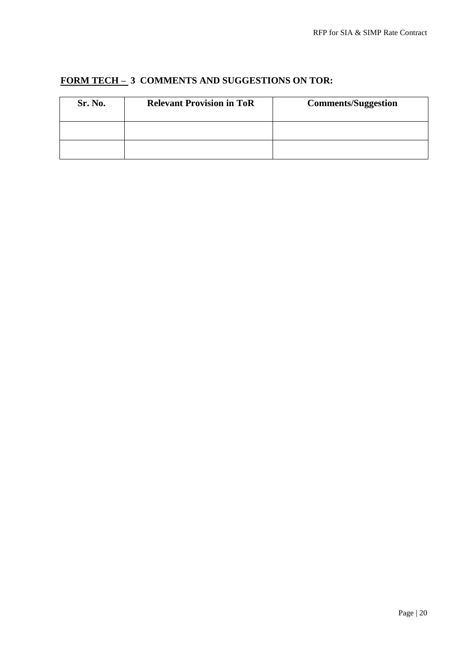| Sr. No. | <b>Relevant Provision in ToR</b> | <b>Comments/Suggestion</b> |
|---------|----------------------------------|----------------------------|
|         |                                  |                            |
|         |                                  |                            |

# **FORM TECH – 3 COMMENTS AND SUGGESTIONS ON TOR:**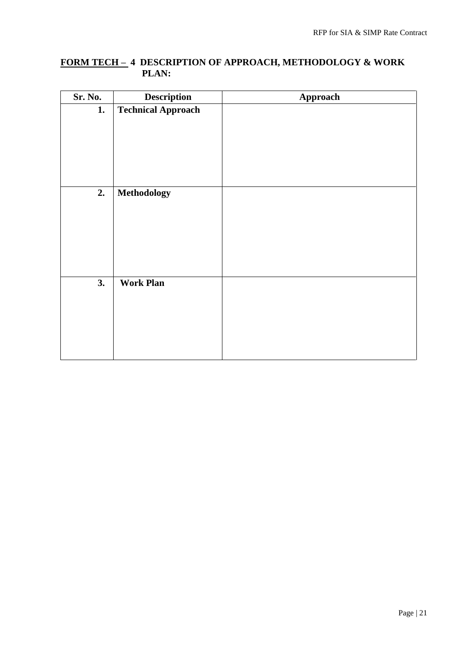### **FORM TECH – 4 DESCRIPTION OF APPROACH, METHODOLOGY & WORK PLAN:**

| Sr. No. | Description               | Approach |
|---------|---------------------------|----------|
| 1.      | <b>Technical Approach</b> |          |
|         |                           |          |
|         |                           |          |
|         |                           |          |
|         |                           |          |
|         |                           |          |
| 2.      | Methodology               |          |
|         |                           |          |
|         |                           |          |
|         |                           |          |
|         |                           |          |
|         |                           |          |
|         |                           |          |
| 3.      | <b>Work Plan</b>          |          |
|         |                           |          |
|         |                           |          |
|         |                           |          |
|         |                           |          |
|         |                           |          |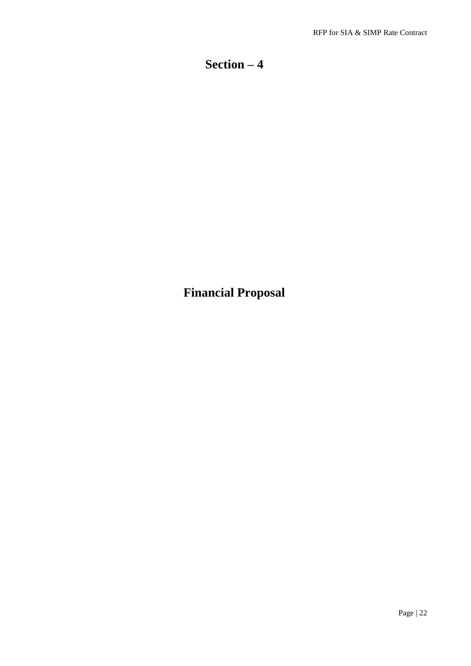# **Section – 4**

**Financial Proposal**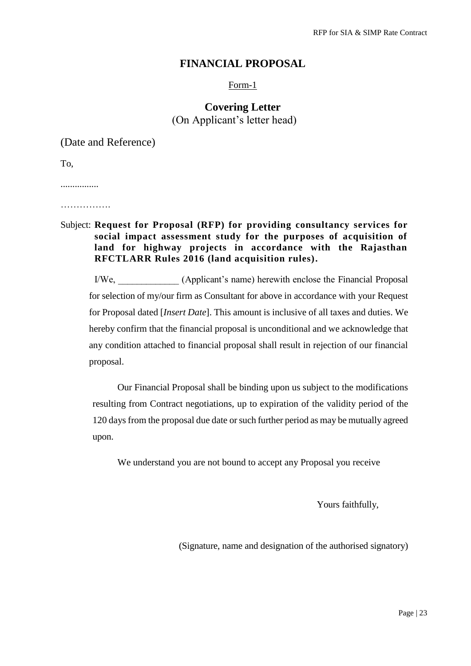### **FINANCIAL PROPOSAL**

Form-1

## **Covering Letter**  (On Applicant's letter head)

(Date and Reference)

To,

................

…………….

### Subject: **Request for Proposal (RFP) for providing consultancy services for social impact assessment study for the purposes of acquisition of land for highway projects in accordance with the Rajasthan RFCTLARR Rules 2016 (land acquisition rules).**

I/We, \_\_\_\_\_\_\_\_\_\_\_\_\_ (Applicant's name) herewith enclose the Financial Proposal for selection of my/our firm as Consultant for above in accordance with your Request for Proposal dated [*Insert Date*]. This amount is inclusive of all taxes and duties. We hereby confirm that the financial proposal is unconditional and we acknowledge that any condition attached to financial proposal shall result in rejection of our financial proposal.

Our Financial Proposal shall be binding upon us subject to the modifications resulting from Contract negotiations, up to expiration of the validity period of the 120 days from the proposal due date or such further period as may be mutually agreed upon.

We understand you are not bound to accept any Proposal you receive

Yours faithfully,

(Signature, name and designation of the authorised signatory)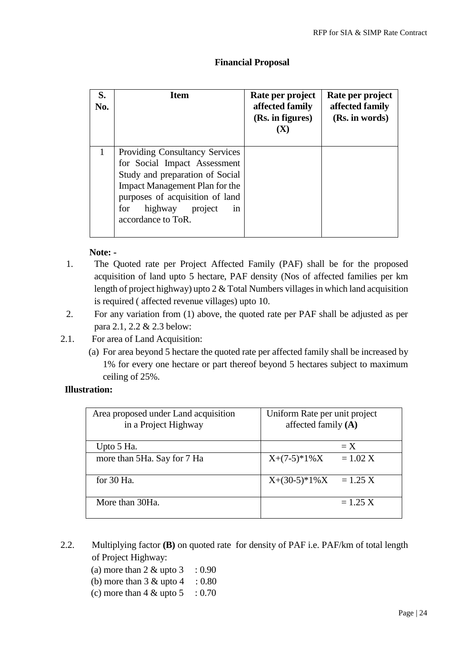#### **Financial Proposal**

| S.<br>No. | <b>Item</b>                                                                                                                                                                                                                         | Rate per project<br>affected family<br>(Rs. in figures)<br>$(\mathbf{X})$ | Rate per project<br>affected family<br>(Rs. in words) |
|-----------|-------------------------------------------------------------------------------------------------------------------------------------------------------------------------------------------------------------------------------------|---------------------------------------------------------------------------|-------------------------------------------------------|
|           | <b>Providing Consultancy Services</b><br>for Social Impact Assessment<br>Study and preparation of Social<br>Impact Management Plan for the<br>purposes of acquisition of land<br>highway project<br>for<br>in<br>accordance to ToR. |                                                                           |                                                       |

#### **Note: -**

- 1. The Quoted rate per Project Affected Family (PAF) shall be for the proposed acquisition of land upto 5 hectare, PAF density (Nos of affected families per km length of project highway) upto 2 & Total Numbers villages in which land acquisition is required ( affected revenue villages) upto 10.
- 2. For any variation from (1) above, the quoted rate per PAF shall be adjusted as per para 2.1, 2.2 & 2.3 below:
- 2.1. For area of Land Acquisition:
	- (a) For area beyond 5 hectare the quoted rate per affected family shall be increased by 1% for every one hectare or part thereof beyond 5 hectares subject to maximum ceiling of 25%.

#### **Illustration:**

| Area proposed under Land acquisition<br>in a Project Highway | Uniform Rate per unit project<br>affected family $(A)$ |
|--------------------------------------------------------------|--------------------------------------------------------|
| Upto 5 Ha.                                                   | $\equiv X$                                             |
| more than 5Ha. Say for 7 Ha                                  | $X+(7-5)*1%X$<br>$= 1.02 X$                            |
| for $30$ Ha.                                                 | $X+(30-5)*1\%X$<br>$= 1.25 X$                          |
| More than 30Ha.                                              | $= 1.25 X$                                             |

- 2.2. Multiplying factor **(B)** on quoted rate for density of PAF i.e. PAF/km of total length of Project Highway:
	- (a) more than  $2 \&$  upto  $3 : 0.90$
	- (b) more than  $3 \&$  upto  $4 : 0.80$
	- (c) more than  $4 \&$  upto  $5 \div 0.70$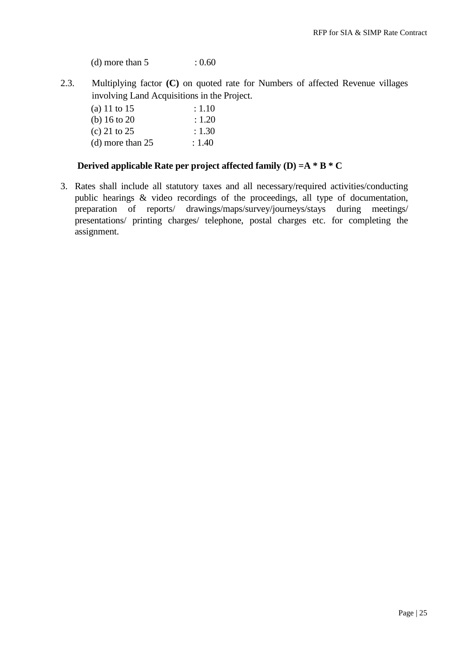(d) more than  $5 : 0.60$ 

2.3. Multiplying factor **(C)** on quoted rate for Numbers of affected Revenue villages involving Land Acquisitions in the Project.

| (a) 11 to 15            | : 1.10 |
|-------------------------|--------|
| (b) $16 \text{ to } 20$ | : 1.20 |
| (c) 21 to 25            | : 1.30 |
| (d) more than $25$      | : 1.40 |

#### **Derived applicable Rate per project affected family (D) =A \* B \* C**

3. Rates shall include all statutory taxes and all necessary/required activities/conducting public hearings & video recordings of the proceedings, all type of documentation, preparation of reports/ drawings/maps/survey/journeys/stays during meetings/ presentations/ printing charges/ telephone, postal charges etc. for completing the assignment.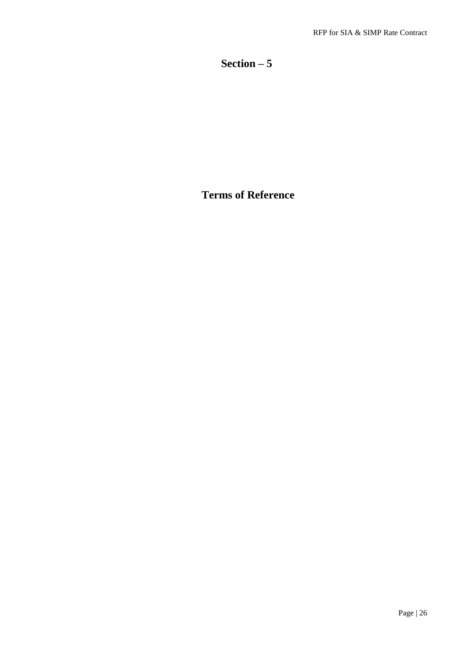# **Section – 5**

# **Terms of Reference**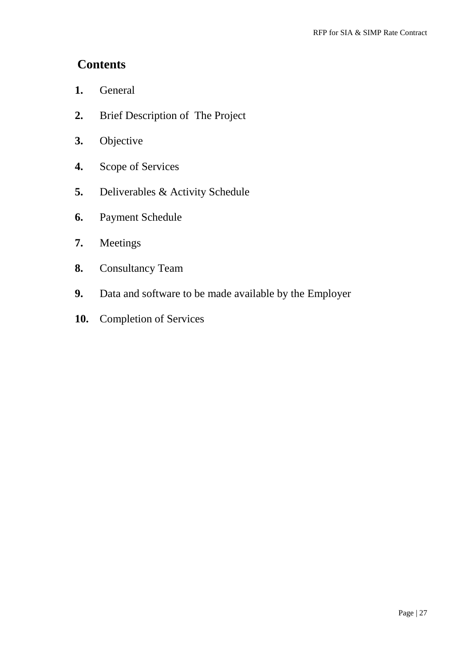# **Contents**

- **1.** General
- **2.** Brief Description of The Project
- **3.** Objective
- **4.** Scope of Services
- **5.** Deliverables & Activity Schedule
- **6.** Payment Schedule
- **7.** Meetings
- **8.** Consultancy Team
- **9.** Data and software to be made available by the Employer
- **10.** Completion of Services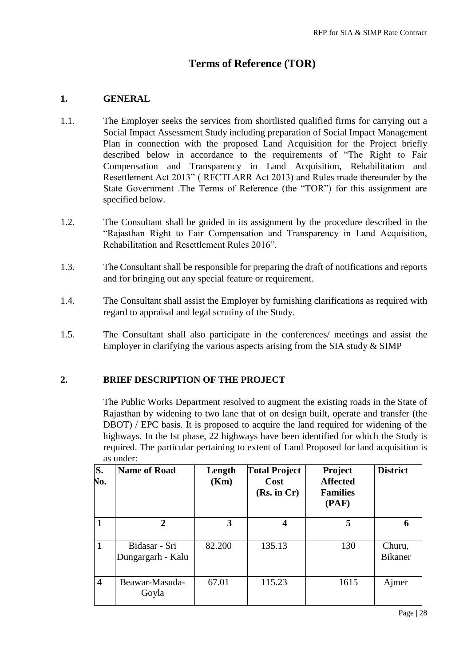# **Terms of Reference (TOR)**

#### **1. GENERAL**

- 1.1. The Employer seeks the services from shortlisted qualified firms for carrying out a Social Impact Assessment Study including preparation of Social Impact Management Plan in connection with the proposed Land Acquisition for the Project briefly described below in accordance to the requirements of "The Right to Fair Compensation and Transparency in Land Acquisition, Rehabilitation and Resettlement Act 2013" ( RFCTLARR Act 2013) and Rules made thereunder by the State Government .The Terms of Reference (the "TOR") for this assignment are specified below.
- 1.2. The Consultant shall be guided in its assignment by the procedure described in the "Rajasthan Right to Fair Compensation and Transparency in Land Acquisition, Rehabilitation and Resettlement Rules 2016".
- 1.3. The Consultant shall be responsible for preparing the draft of notifications and reports and for bringing out any special feature or requirement.
- 1.4. The Consultant shall assist the Employer by furnishing clarifications as required with regard to appraisal and legal scrutiny of the Study.
- 1.5. The Consultant shall also participate in the conferences/ meetings and assist the Employer in clarifying the various aspects arising from the SIA study  $&$  SIMP

### **2. BRIEF DESCRIPTION OF THE PROJECT**

The Public Works Department resolved to augment the existing roads in the State of Rajasthan by widening to two lane that of on design built, operate and transfer (the DBOT) / EPC basis. It is proposed to acquire the land required for widening of the highways. In the Ist phase, 22 highways have been identified for which the Study is required. The particular pertaining to extent of Land Proposed for land acquisition is as under:

| S.<br>No.               | <b>Name of Road</b>                | Length<br>(Km) | <b>Total Project</b><br>Cost<br>(Rs. in Cr) | <b>Project</b><br><b>Affected</b><br><b>Families</b><br>(PAF) | <b>District</b>   |
|-------------------------|------------------------------------|----------------|---------------------------------------------|---------------------------------------------------------------|-------------------|
|                         | $\overline{2}$                     | 3              | 4                                           | 5                                                             | 6                 |
| 1                       | Bidasar - Sri<br>Dungargarh - Kalu | 82.200         | 135.13                                      | 130                                                           | Churu,<br>Bikaner |
| $\overline{\mathbf{4}}$ | Beawar-Masuda-<br>Goyla            | 67.01          | 115.23                                      | 1615                                                          | Ajmer             |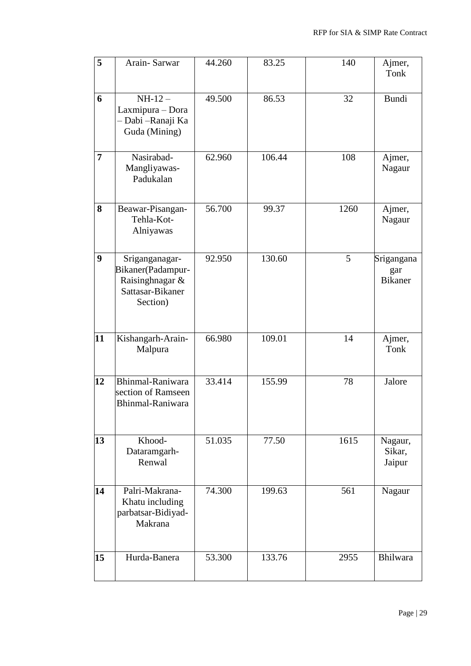| 5                | Arain-Sarwar                                                                           | 44.260 | 83.25  | 140  | Ajmer,<br><b>Tonk</b>               |
|------------------|----------------------------------------------------------------------------------------|--------|--------|------|-------------------------------------|
| 6                | $NH-12-$<br>Laxmipura - Dora<br>Dabi - Ranaji Ka<br>Guda (Mining)                      | 49.500 | 86.53  | 32   | <b>Bundi</b>                        |
| $\overline{7}$   | Nasirabad-<br>Mangliyawas-<br>Padukalan                                                | 62.960 | 106.44 | 108  | Ajmer,<br>Nagaur                    |
| 8                | Beawar-Pisangan-<br>Tehla-Kot-<br>Alniyawas                                            | 56.700 | 99.37  | 1260 | Ajmer,<br>Nagaur                    |
| $\boldsymbol{9}$ | Sriganganagar-<br>Bikaner(Padampur-<br>Raisinghnagar &<br>Sattasar-Bikaner<br>Section) | 92.950 | 130.60 | 5    | Srigangana<br>gar<br><b>Bikaner</b> |
| 11               | Kishangarh-Arain-<br>Malpura                                                           | 66.980 | 109.01 | 14   | Ajmer,<br>Tonk                      |
| 12               | Bhinmal-Raniwara<br>section of Ramseen<br>Bhinmal-Raniwara                             | 33.414 | 155.99 | 78   | Jalore                              |
| 13               | Khood-<br>Dataramgarh-<br>Renwal                                                       | 51.035 | 77.50  | 1615 | Nagaur,<br>Sikar,<br>Jaipur         |
| 14               | Palri-Makrana-<br>Khatu including<br>parbatsar-Bidiyad-<br>Makrana                     | 74.300 | 199.63 | 561  | Nagaur                              |
| 15               | Hurda-Banera                                                                           | 53.300 | 133.76 | 2955 | Bhilwara                            |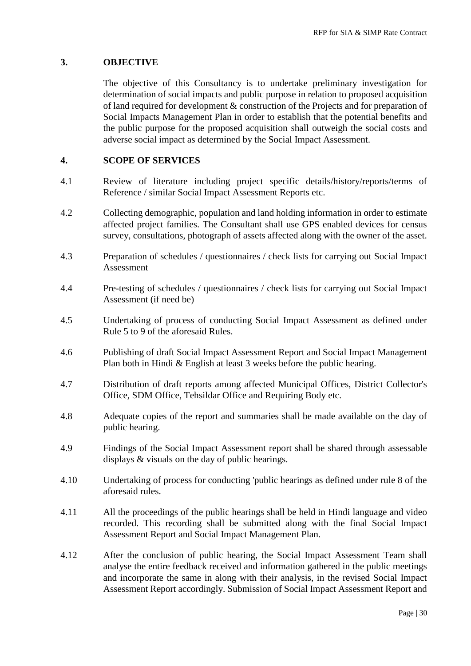#### **3. OBJECTIVE**

The objective of this Consultancy is to undertake preliminary investigation for determination of social impacts and public purpose in relation to proposed acquisition of land required for development & construction of the Projects and for preparation of Social Impacts Management Plan in order to establish that the potential benefits and the public purpose for the proposed acquisition shall outweigh the social costs and adverse social impact as determined by the Social Impact Assessment.

#### **4. SCOPE OF SERVICES**

- 4.1 Review of literature including project specific details/history/reports/terms of Reference / similar Social Impact Assessment Reports etc.
- 4.2 Collecting demographic, population and land holding information in order to estimate affected project families. The Consultant shall use GPS enabled devices for census survey, consultations, photograph of assets affected along with the owner of the asset.
- 4.3 Preparation of schedules / questionnaires / check lists for carrying out Social Impact Assessment
- 4.4 Pre-testing of schedules / questionnaires / check lists for carrying out Social Impact Assessment (if need be)
- 4.5 Undertaking of process of conducting Social Impact Assessment as defined under Rule 5 to 9 of the aforesaid Rules.
- 4.6 Publishing of draft Social Impact Assessment Report and Social Impact Management Plan both in Hindi & English at least 3 weeks before the public hearing.
- 4.7 Distribution of draft reports among affected Municipal Offices, District Collector's Office, SDM Office, Tehsildar Office and Requiring Body etc.
- 4.8 Adequate copies of the report and summaries shall be made available on the day of public hearing.
- 4.9 Findings of the Social Impact Assessment report shall be shared through assessable displays & visuals on the day of public hearings.
- 4.10 Undertaking of process for conducting 'public hearings as defined under rule 8 of the aforesaid rules.
- 4.11 All the proceedings of the public hearings shall be held in Hindi language and video recorded. This recording shall be submitted along with the final Social Impact Assessment Report and Social Impact Management Plan.
- 4.12 After the conclusion of public hearing, the Social Impact Assessment Team shall analyse the entire feedback received and information gathered in the public meetings and incorporate the same in along with their analysis, in the revised Social Impact Assessment Report accordingly. Submission of Social Impact Assessment Report and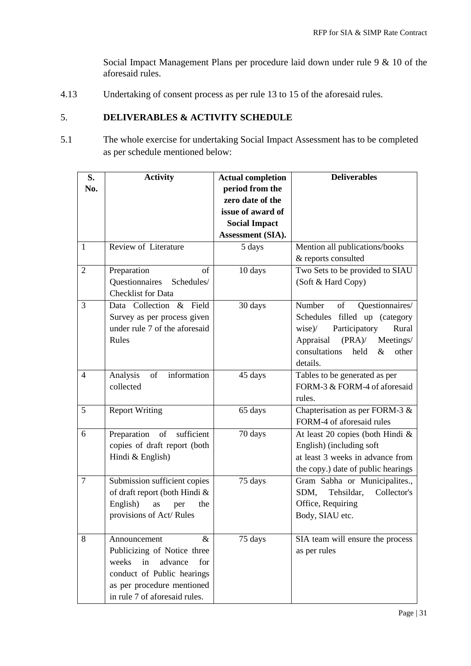Social Impact Management Plans per procedure laid down under rule 9 & 10 of the aforesaid rules.

4.13 Undertaking of consent process as per rule 13 to 15 of the aforesaid rules.

### 5. **DELIVERABLES & ACTIVITY SCHEDULE**

5.1 The whole exercise for undertaking Social Impact Assessment has to be completed as per schedule mentioned below:

| S.             | <b>Activity</b>                       | <b>Actual completion</b> | <b>Deliverables</b>                    |
|----------------|---------------------------------------|--------------------------|----------------------------------------|
| No.            |                                       | period from the          |                                        |
|                |                                       | zero date of the         |                                        |
|                |                                       | issue of award of        |                                        |
|                |                                       | <b>Social Impact</b>     |                                        |
|                |                                       | Assessment (SIA).        |                                        |
| $\mathbf{1}$   | Review of Literature                  | 5 days                   | Mention all publications/books         |
|                |                                       |                          | & reports consulted                    |
| $\overline{2}$ | of<br>Preparation                     | 10 days                  | Two Sets to be provided to SIAU        |
|                | Questionnaires<br>Schedules/          |                          | (Soft & Hard Copy)                     |
|                | <b>Checklist</b> for Data             |                          |                                        |
| $\overline{3}$ | Data Collection & Field               | 30 days                  | Number<br>Questionnaires/<br>of        |
|                | Survey as per process given           |                          | Schedules filled up (category          |
|                | under rule 7 of the aforesaid         |                          | Participatory<br>wise)<br>Rural        |
|                | Rules                                 |                          | Appraisal<br>(PRA)<br>Meetings/        |
|                |                                       |                          | consultations<br>held<br>other<br>$\&$ |
|                |                                       |                          | details.                               |
| $\overline{4}$ | information<br>Analysis<br>of         | 45 days                  | Tables to be generated as per          |
|                | collected                             |                          | FORM-3 & FORM-4 of aforesaid           |
|                |                                       |                          | rules.                                 |
| 5              | <b>Report Writing</b>                 | 65 days                  | Chapterisation as per FORM-3 &         |
|                |                                       |                          | FORM-4 of aforesaid rules              |
| 6              | Preparation<br>sufficient<br>$\sigma$ | 70 days                  | At least 20 copies (both Hindi &       |
|                | copies of draft report (both          |                          | English) (including soft               |
|                | Hindi & English)                      |                          | at least 3 weeks in advance from       |
|                |                                       |                          | the copy.) date of public hearings     |
| 7              | Submission sufficient copies          | 75 days                  | Gram Sabha or Municipalites.,          |
|                | of draft report (both Hindi &         |                          | Tehsildar,<br>Collector's<br>SDM,      |
|                | English)<br>the<br>as<br>per          |                          | Office, Requiring                      |
|                | provisions of Act/Rules               |                          | Body, SIAU etc.                        |
|                |                                       |                          |                                        |
| 8              | &<br>Announcement                     | 75 days                  | SIA team will ensure the process       |
|                | Publicizing of Notice three           |                          | as per rules                           |
|                | in<br>advance<br>weeks<br>for         |                          |                                        |
|                | conduct of Public hearings            |                          |                                        |
|                | as per procedure mentioned            |                          |                                        |
|                | in rule 7 of aforesaid rules.         |                          |                                        |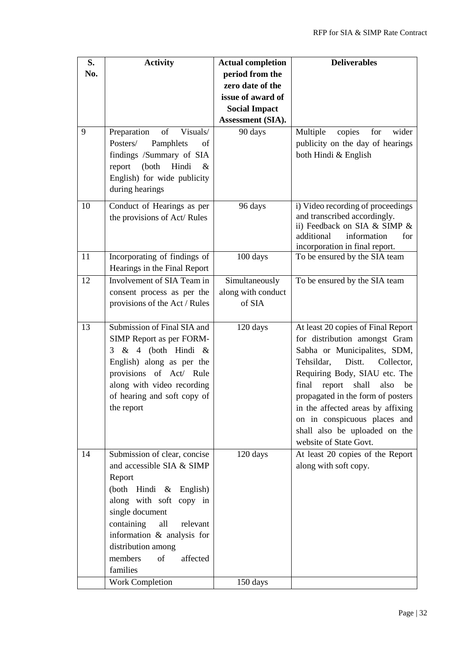| S.  | <b>Activity</b>                  | <b>Actual completion</b> | <b>Deliverables</b>                    |
|-----|----------------------------------|--------------------------|----------------------------------------|
| No. |                                  | period from the          |                                        |
|     |                                  | zero date of the         |                                        |
|     |                                  | issue of award of        |                                        |
|     |                                  | <b>Social Impact</b>     |                                        |
|     |                                  |                          |                                        |
|     |                                  | Assessment (SIA).        |                                        |
| 9   | Preparation<br>of<br>Visuals/    | 90 days                  | Multiple<br>copies<br>for<br>wider     |
|     | Posters/<br>Pamphlets<br>of      |                          | publicity on the day of hearings       |
|     | findings /Summary of SIA         |                          | both Hindi & English                   |
|     | (both<br>Hindi<br>report<br>$\&$ |                          |                                        |
|     | English) for wide publicity      |                          |                                        |
|     | during hearings                  |                          |                                        |
| 10  | Conduct of Hearings as per       | 96 days                  | i) Video recording of proceedings      |
|     | the provisions of Act/Rules      |                          | and transcribed accordingly.           |
|     |                                  |                          | ii) Feedback on SIA & SIMP &           |
|     |                                  |                          | additional<br>information<br>for       |
|     |                                  |                          | incorporation in final report.         |
| 11  | Incorporating of findings of     | 100 days                 | To be ensured by the SIA team          |
|     | Hearings in the Final Report     |                          |                                        |
| 12  | Involvement of SIA Team in       | Simultaneously           | To be ensured by the SIA team          |
|     | consent process as per the       | along with conduct       |                                        |
|     | provisions of the Act / Rules    | of SIA                   |                                        |
|     |                                  |                          |                                        |
| 13  | Submission of Final SIA and      | 120 days                 | At least 20 copies of Final Report     |
|     | SIMP Report as per FORM-         |                          | for distribution amongst Gram          |
|     | $3 \& 4$ (both Hindi &           |                          | Sabha or Municipalites, SDM,           |
|     | English) along as per the        |                          | Tehsildar,<br>Distt.<br>Collector,     |
|     | provisions of Act/ Rule          |                          | Requiring Body, SIAU etc. The          |
|     | along with video recording       |                          | final<br>report<br>shall<br>also<br>be |
|     | of hearing and soft copy of      |                          | propagated in the form of posters      |
|     |                                  |                          | in the affected areas by affixing      |
|     | the report                       |                          |                                        |
|     |                                  |                          | on in conspicuous places and           |
|     |                                  |                          | shall also be uploaded on the          |
|     |                                  |                          | website of State Govt.                 |
| 14  | Submission of clear, concise     | 120 days                 | At least 20 copies of the Report       |
|     | and accessible SIA & SIMP        |                          | along with soft copy.                  |
|     | Report                           |                          |                                        |
|     | (both Hindi & English)           |                          |                                        |
|     | along with soft copy in          |                          |                                        |
|     | single document                  |                          |                                        |
|     | containing<br>all<br>relevant    |                          |                                        |
|     | information & analysis for       |                          |                                        |
|     | distribution among               |                          |                                        |
|     | members<br>of<br>affected        |                          |                                        |
|     | families                         |                          |                                        |
|     | Work Completion                  | 150 days                 |                                        |
|     |                                  |                          |                                        |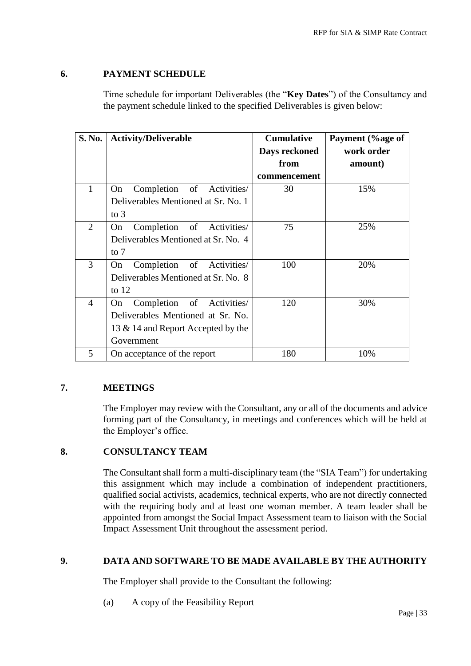## **6. PAYMENT SCHEDULE**

Time schedule for important Deliverables (the "**Key Dates**") of the Consultancy and the payment schedule linked to the specified Deliverables is given below:

| S. No.         | <b>Activity/Deliverable</b>           | <b>Cumulative</b> | Payment (%age of |
|----------------|---------------------------------------|-------------------|------------------|
|                |                                       | Days reckoned     | work order       |
|                |                                       | from              | amount)          |
|                |                                       | commencement      |                  |
| 1              | of<br>Activities/<br>Completion<br>On | 30                | 15%              |
|                | Deliverables Mentioned at Sr. No. 1   |                   |                  |
|                | to $3$                                |                   |                  |
| $\overline{2}$ | Completion of Activities/<br>On.      | 75                | 25%              |
|                | Deliverables Mentioned at Sr. No. 4   |                   |                  |
|                | to $7$                                |                   |                  |
| 3              | Completion of Activities/<br>On.      | 100               | 20%              |
|                | Deliverables Mentioned at Sr. No. 8   |                   |                  |
|                | to $12$                               |                   |                  |
| 4              | Completion of Activities/<br>On       | 120               | 30%              |
|                | Deliverables Mentioned at Sr. No.     |                   |                  |
|                | 13 & 14 and Report Accepted by the    |                   |                  |
|                | Government                            |                   |                  |
| 5              | On acceptance of the report           | 180               | 10%              |

## **7. MEETINGS**

The Employer may review with the Consultant, any or all of the documents and advice forming part of the Consultancy, in meetings and conferences which will be held at the Employer's office.

### **8. CONSULTANCY TEAM**

The Consultant shall form a multi-disciplinary team (the "SIA Team") for undertaking this assignment which may include a combination of independent practitioners, qualified social activists, academics, technical experts, who are not directly connected with the requiring body and at least one woman member. A team leader shall be appointed from amongst the Social Impact Assessment team to liaison with the Social Impact Assessment Unit throughout the assessment period.

### **9. DATA AND SOFTWARE TO BE MADE AVAILABLE BY THE AUTHORITY**

The Employer shall provide to the Consultant the following:

(a) A copy of the Feasibility Report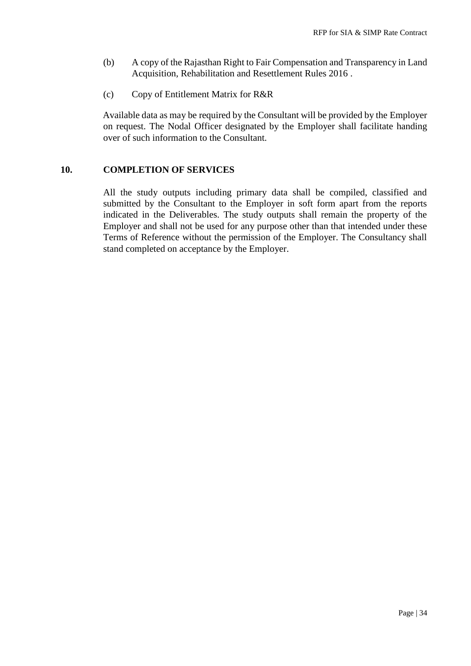- (b) A copy of the Rajasthan Right to Fair Compensation and Transparency in Land Acquisition, Rehabilitation and Resettlement Rules 2016 .
- (c) Copy of Entitlement Matrix for R&R

Available data as may be required by the Consultant will be provided by the Employer on request. The Nodal Officer designated by the Employer shall facilitate handing over of such information to the Consultant.

#### **10. COMPLETION OF SERVICES**

All the study outputs including primary data shall be compiled, classified and submitted by the Consultant to the Employer in soft form apart from the reports indicated in the Deliverables. The study outputs shall remain the property of the Employer and shall not be used for any purpose other than that intended under these Terms of Reference without the permission of the Employer. The Consultancy shall stand completed on acceptance by the Employer.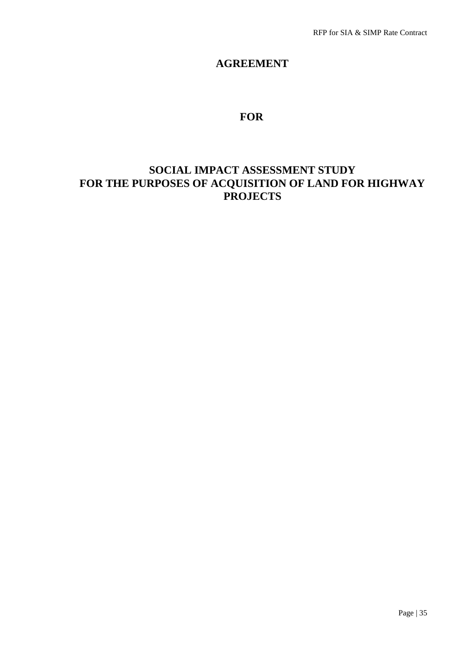## **AGREEMENT**

# **FOR**

# **SOCIAL IMPACT ASSESSMENT STUDY FOR THE PURPOSES OF ACQUISITION OF LAND FOR HIGHWAY PROJECTS**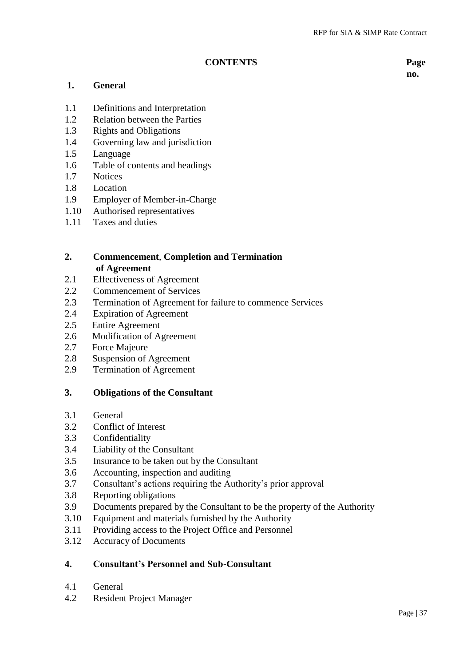#### **CONTENTS Page**

**no.**

#### **1. General**

- 1.1 Definitions and Interpretation
- 1.2 Relation between the Parties
- 1.3 Rights and Obligations
- 1.4 Governing law and jurisdiction
- 1.5 Language
- 1.6 Table of contents and headings
- 1.7 Notices
- 1.8 Location
- 1.9 Employer of Member-in-Charge
- 1.10 Authorised representatives
- 1.11 Taxes and duties

### **2. Commencement**, **Completion and Termination of Agreement**

- 2.1 Effectiveness of Agreement
- 2.2 Commencement of Services
- 2.3 Termination of Agreement for failure to commence Services
- 2.4 Expiration of Agreement
- 2.5 Entire Agreement
- 2.6 Modification of Agreement
- 2.7 Force Majeure
- 2.8 Suspension of Agreement
- 2.9 Termination of Agreement

#### **3. Obligations of the Consultant**

- 3.1 General
- 3.2 Conflict of Interest
- 3.3 Confidentiality
- 3.4 Liability of the Consultant
- 3.5 Insurance to be taken out by the Consultant
- 3.6 Accounting, inspection and auditing
- 3.7 Consultant's actions requiring the Authority's prior approval
- 3.8 Reporting obligations
- 3.9 Documents prepared by the Consultant to be the property of the Authority
- 3.10 Equipment and materials furnished by the Authority
- 3.11 Providing access to the Project Office and Personnel
- 3.12 Accuracy of Documents

## **4. Consultant's Personnel and Sub-Consultant**

- 4.1 General
- 4.2 Resident Project Manager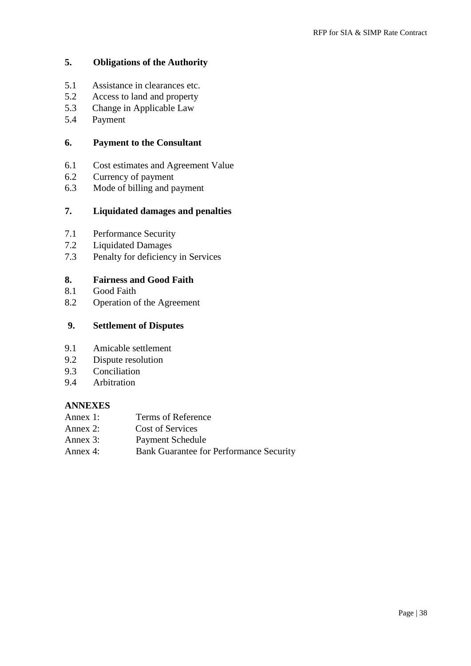## **5. Obligations of the Authority**

- 5.1 Assistance in clearances etc.
- 5.2 Access to land and property
- 5.3 Change in Applicable Law
- 5.4 Payment

#### **6. Payment to the Consultant**

- 6.1 Cost estimates and Agreement Value
- 6.2 Currency of payment
- 6.3 Mode of billing and payment

#### **7. Liquidated damages and penalties**

- 7.1 Performance Security
- 7.2 Liquidated Damages
- 7.3 Penalty for deficiency in Services

#### **8. Fairness and Good Faith**

- 8.1 Good Faith
- 8.2 Operation of the Agreement

### **9. Settlement of Disputes**

- 9.1 Amicable settlement
- 9.2 Dispute resolution
- 9.3 Conciliation
- 9.4 Arbitration

#### **ANNEXES**

- Annex 1: Terms of Reference
- Annex 2: Cost of Services
- Annex 3: Payment Schedule
- Annex 4: Bank Guarantee for Performance Security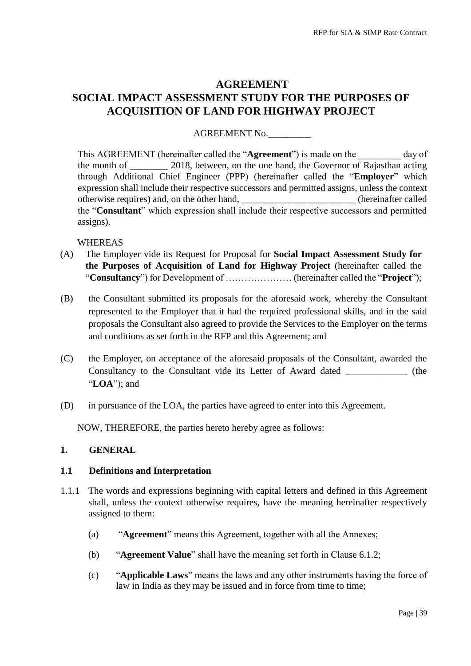# **AGREEMENT SOCIAL IMPACT ASSESSMENT STUDY FOR THE PURPOSES OF ACQUISITION OF LAND FOR HIGHWAY PROJECT**

#### AGREEMENT No.\_\_\_\_\_\_\_\_\_

This AGREEMENT (hereinafter called the "**Agreement**") is made on the day of the month of \_\_\_\_\_\_\_\_ 2018, between, on the one hand, the Governor of Rajasthan acting through Additional Chief Engineer (PPP) (hereinafter called the "**Employer**" which expression shall include their respective successors and permitted assigns, unless the context otherwise requires) and, on the other hand,  $\blacksquare$  (hereinafter called the "**Consultant**" which expression shall include their respective successors and permitted assigns).

#### WHEREAS

- (A) The Employer vide its Request for Proposal for **Social Impact Assessment Study for the Purposes of Acquisition of Land for Highway Project** (hereinafter called the "**Consultancy**") for Development of ………………… (hereinafter called the "**Project**");
- (B) the Consultant submitted its proposals for the aforesaid work, whereby the Consultant represented to the Employer that it had the required professional skills, and in the said proposals the Consultant also agreed to provide the Services to the Employer on the terms and conditions as set forth in the RFP and this Agreement; and
- (C) the Employer, on acceptance of the aforesaid proposals of the Consultant, awarded the Consultancy to the Consultant vide its Letter of Award dated (the "**LOA**"); and
- (D) in pursuance of the LOA, the parties have agreed to enter into this Agreement.

NOW, THEREFORE, the parties hereto hereby agree as follows:

#### **1. GENERAL**

#### **1.1 Definitions and Interpretation**

- 1.1.1 The words and expressions beginning with capital letters and defined in this Agreement shall, unless the context otherwise requires, have the meaning hereinafter respectively assigned to them:
	- (a) "**Agreement**" means this Agreement, together with all the Annexes;
	- (b) "**Agreement Value**" shall have the meaning set forth in Clause 6.1.2;
	- (c) "**Applicable Laws**" means the laws and any other instruments having the force of law in India as they may be issued and in force from time to time;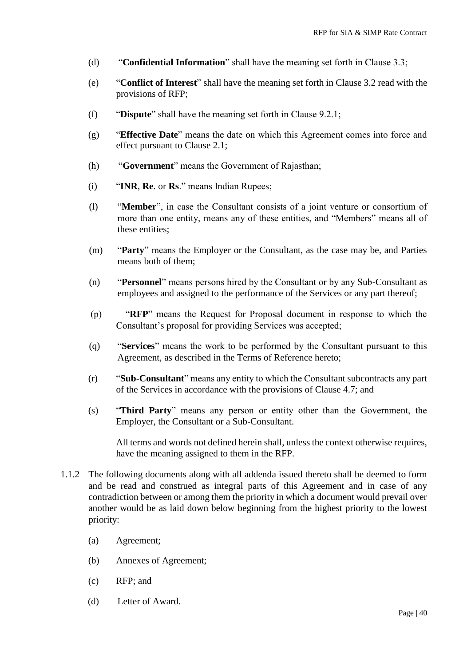- (d) "**Confidential Information**" shall have the meaning set forth in Clause 3.3;
- (e) "**Conflict of Interest**" shall have the meaning set forth in Clause 3.2 read with the provisions of RFP;
- (f) "**Dispute**" shall have the meaning set forth in Clause 9.2.1;
- (g) "**Effective Date**" means the date on which this Agreement comes into force and effect pursuant to Clause 2.1;
- (h) "**Government**" means the Government of Rajasthan;
- (i) "**INR**, **Re**. or **Rs**." means Indian Rupees;
- (l) "**Member**", in case the Consultant consists of a joint venture or consortium of more than one entity, means any of these entities, and "Members" means all of these entities;
- (m) "**Party**" means the Employer or the Consultant, as the case may be, and Parties means both of them;
- (n) "**Personnel**" means persons hired by the Consultant or by any Sub-Consultant as employees and assigned to the performance of the Services or any part thereof;
- (p) "**RFP**" means the Request for Proposal document in response to which the Consultant's proposal for providing Services was accepted;
- (q) "**Services**" means the work to be performed by the Consultant pursuant to this Agreement, as described in the Terms of Reference hereto;
- (r) "**Sub-Consultant**" means any entity to which the Consultant subcontracts any part of the Services in accordance with the provisions of Clause 4.7; and
- (s) "**Third Party**" means any person or entity other than the Government, the Employer, the Consultant or a Sub-Consultant.

All terms and words not defined herein shall, unless the context otherwise requires, have the meaning assigned to them in the RFP.

- 1.1.2 The following documents along with all addenda issued thereto shall be deemed to form and be read and construed as integral parts of this Agreement and in case of any contradiction between or among them the priority in which a document would prevail over another would be as laid down below beginning from the highest priority to the lowest priority:
	- (a) Agreement;
	- (b) Annexes of Agreement;
	- (c) RFP; and
	- (d) Letter of Award.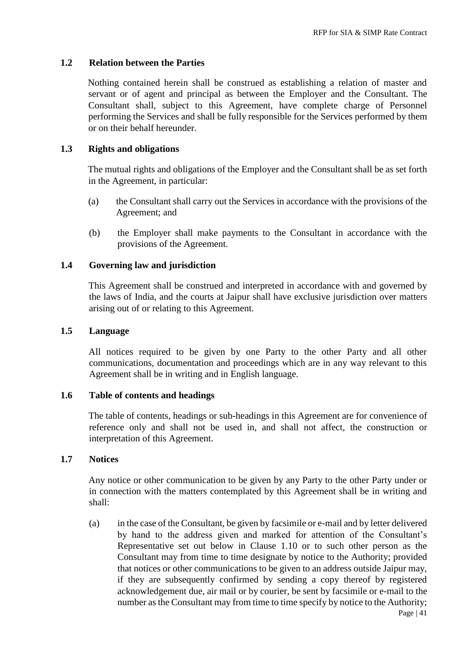#### **1.2 Relation between the Parties**

Nothing contained herein shall be construed as establishing a relation of master and servant or of agent and principal as between the Employer and the Consultant. The Consultant shall, subject to this Agreement, have complete charge of Personnel performing the Services and shall be fully responsible for the Services performed by them or on their behalf hereunder.

#### **1.3 Rights and obligations**

The mutual rights and obligations of the Employer and the Consultant shall be as set forth in the Agreement, in particular:

- (a) the Consultant shall carry out the Services in accordance with the provisions of the Agreement; and
- (b) the Employer shall make payments to the Consultant in accordance with the provisions of the Agreement.

#### **1.4 Governing law and jurisdiction**

This Agreement shall be construed and interpreted in accordance with and governed by the laws of India, and the courts at Jaipur shall have exclusive jurisdiction over matters arising out of or relating to this Agreement.

#### **1.5 Language**

All notices required to be given by one Party to the other Party and all other communications, documentation and proceedings which are in any way relevant to this Agreement shall be in writing and in English language.

#### **1.6 Table of contents and headings**

The table of contents, headings or sub-headings in this Agreement are for convenience of reference only and shall not be used in, and shall not affect, the construction or interpretation of this Agreement.

#### **1.7 Notices**

Any notice or other communication to be given by any Party to the other Party under or in connection with the matters contemplated by this Agreement shall be in writing and shall:

(a) in the case of the Consultant, be given by facsimile or e-mail and by letter delivered by hand to the address given and marked for attention of the Consultant's Representative set out below in Clause 1.10 or to such other person as the Consultant may from time to time designate by notice to the Authority; provided that notices or other communications to be given to an address outside Jaipur may, if they are subsequently confirmed by sending a copy thereof by registered acknowledgement due, air mail or by courier, be sent by facsimile or e-mail to the number as the Consultant may from time to time specify by notice to the Authority;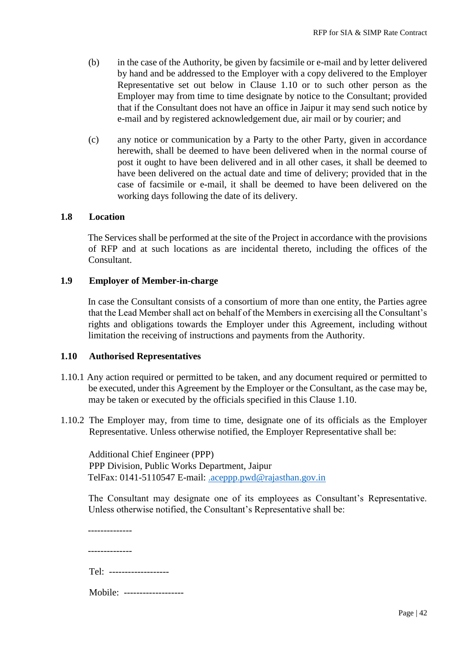- (b) in the case of the Authority, be given by facsimile or e-mail and by letter delivered by hand and be addressed to the Employer with a copy delivered to the Employer Representative set out below in Clause 1.10 or to such other person as the Employer may from time to time designate by notice to the Consultant; provided that if the Consultant does not have an office in Jaipur it may send such notice by e-mail and by registered acknowledgement due, air mail or by courier; and
- (c) any notice or communication by a Party to the other Party, given in accordance herewith, shall be deemed to have been delivered when in the normal course of post it ought to have been delivered and in all other cases, it shall be deemed to have been delivered on the actual date and time of delivery; provided that in the case of facsimile or e-mail, it shall be deemed to have been delivered on the working days following the date of its delivery.

#### **1.8 Location**

The Services shall be performed at the site of the Project in accordance with the provisions of RFP and at such locations as are incidental thereto, including the offices of the Consultant.

#### **1.9 Employer of Member-in-charge**

In case the Consultant consists of a consortium of more than one entity, the Parties agree that the Lead Member shall act on behalf of the Members in exercising all the Consultant's rights and obligations towards the Employer under this Agreement, including without limitation the receiving of instructions and payments from the Authority.

#### **1.10 Authorised Representatives**

- 1.10.1 Any action required or permitted to be taken, and any document required or permitted to be executed, under this Agreement by the Employer or the Consultant, as the case may be, may be taken or executed by the officials specified in this Clause 1.10.
- 1.10.2 The Employer may, from time to time, designate one of its officials as the Employer Representative. Unless otherwise notified, the Employer Representative shall be:

Additional Chief Engineer (PPP) PPP Division, Public Works Department, Jaipur TelFax: 0141-5110547 E-mail: [.aceppp.pwd@rajasthan.gov.in](mailto:.aceppp.pwd@rajasthan.gov.in)

The Consultant may designate one of its employees as Consultant's Representative. Unless otherwise notified, the Consultant's Representative shall be:

| Tel: ------------------  |
|--------------------------|
| Mobile: ---------------- |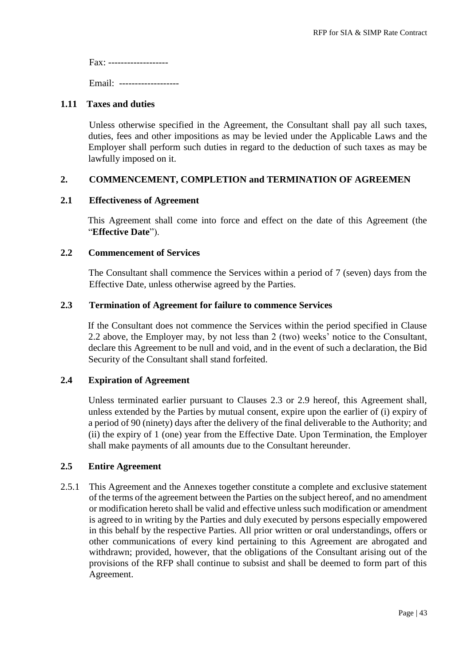Fax: ------------------- Email: -------------------

#### **1.11 Taxes and duties**

Unless otherwise specified in the Agreement, the Consultant shall pay all such taxes, duties, fees and other impositions as may be levied under the Applicable Laws and the Employer shall perform such duties in regard to the deduction of such taxes as may be lawfully imposed on it.

### **2. COMMENCEMENT, COMPLETION and TERMINATION OF AGREEMEN**

#### **2.1 Effectiveness of Agreement**

This Agreement shall come into force and effect on the date of this Agreement (the "**Effective Date**").

#### **2.2 Commencement of Services**

The Consultant shall commence the Services within a period of 7 (seven) days from the Effective Date, unless otherwise agreed by the Parties.

#### **2.3 Termination of Agreement for failure to commence Services**

If the Consultant does not commence the Services within the period specified in Clause 2.2 above, the Employer may, by not less than 2 (two) weeks' notice to the Consultant, declare this Agreement to be null and void, and in the event of such a declaration, the Bid Security of the Consultant shall stand forfeited.

#### **2.4 Expiration of Agreement**

Unless terminated earlier pursuant to Clauses 2.3 or 2.9 hereof, this Agreement shall, unless extended by the Parties by mutual consent, expire upon the earlier of (i) expiry of a period of 90 (ninety) days after the delivery of the final deliverable to the Authority; and (ii) the expiry of 1 (one) year from the Effective Date. Upon Termination, the Employer shall make payments of all amounts due to the Consultant hereunder.

#### **2.5 Entire Agreement**

2.5.1 This Agreement and the Annexes together constitute a complete and exclusive statement of the terms of the agreement between the Parties on the subject hereof, and no amendment or modification hereto shall be valid and effective unless such modification or amendment is agreed to in writing by the Parties and duly executed by persons especially empowered in this behalf by the respective Parties. All prior written or oral understandings, offers or other communications of every kind pertaining to this Agreement are abrogated and withdrawn; provided, however, that the obligations of the Consultant arising out of the provisions of the RFP shall continue to subsist and shall be deemed to form part of this Agreement.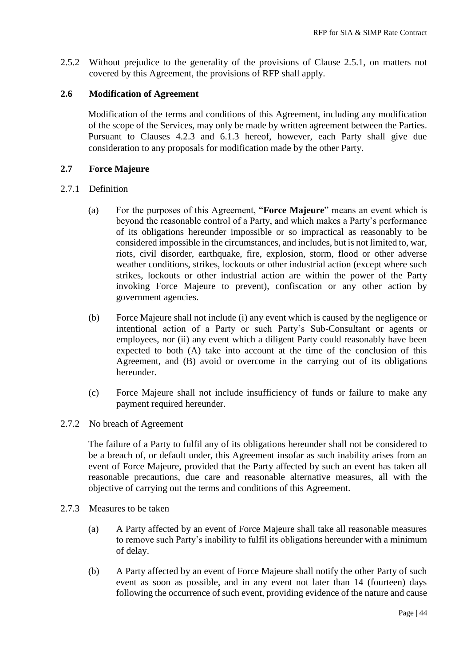2.5.2 Without prejudice to the generality of the provisions of Clause 2.5.1, on matters not covered by this Agreement, the provisions of RFP shall apply.

#### **2.6 Modification of Agreement**

Modification of the terms and conditions of this Agreement, including any modification of the scope of the Services, may only be made by written agreement between the Parties. Pursuant to Clauses 4.2.3 and 6.1.3 hereof, however, each Party shall give due consideration to any proposals for modification made by the other Party.

#### **2.7 Force Majeure**

#### 2.7.1 Definition

- (a) For the purposes of this Agreement, "**Force Majeure**" means an event which is beyond the reasonable control of a Party, and which makes a Party's performance of its obligations hereunder impossible or so impractical as reasonably to be considered impossible in the circumstances, and includes, but is not limited to, war, riots, civil disorder, earthquake, fire, explosion, storm, flood or other adverse weather conditions, strikes, lockouts or other industrial action (except where such strikes, lockouts or other industrial action are within the power of the Party invoking Force Majeure to prevent), confiscation or any other action by government agencies.
- (b) Force Majeure shall not include (i) any event which is caused by the negligence or intentional action of a Party or such Party's Sub-Consultant or agents or employees, nor (ii) any event which a diligent Party could reasonably have been expected to both (A) take into account at the time of the conclusion of this Agreement, and (B) avoid or overcome in the carrying out of its obligations hereunder.
- (c) Force Majeure shall not include insufficiency of funds or failure to make any payment required hereunder.
- 2.7.2 No breach of Agreement

The failure of a Party to fulfil any of its obligations hereunder shall not be considered to be a breach of, or default under, this Agreement insofar as such inability arises from an event of Force Majeure, provided that the Party affected by such an event has taken all reasonable precautions, due care and reasonable alternative measures, all with the objective of carrying out the terms and conditions of this Agreement.

- 2.7.3 Measures to be taken
	- (a) A Party affected by an event of Force Majeure shall take all reasonable measures to remove such Party's inability to fulfil its obligations hereunder with a minimum of delay.
	- (b) A Party affected by an event of Force Majeure shall notify the other Party of such event as soon as possible, and in any event not later than 14 (fourteen) days following the occurrence of such event, providing evidence of the nature and cause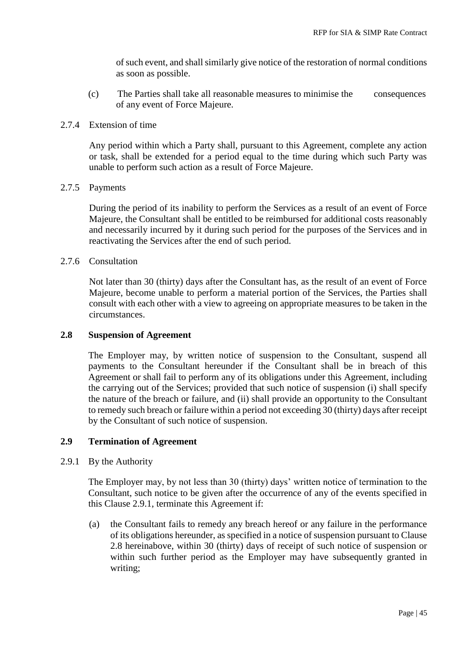of such event, and shall similarly give notice of the restoration of normal conditions as soon as possible.

(c) The Parties shall take all reasonable measures to minimise the consequences of any event of Force Majeure.

#### 2.7.4 Extension of time

Any period within which a Party shall, pursuant to this Agreement, complete any action or task, shall be extended for a period equal to the time during which such Party was unable to perform such action as a result of Force Majeure.

#### 2.7.5 Payments

During the period of its inability to perform the Services as a result of an event of Force Majeure, the Consultant shall be entitled to be reimbursed for additional costs reasonably and necessarily incurred by it during such period for the purposes of the Services and in reactivating the Services after the end of such period.

#### 2.7.6 Consultation

Not later than 30 (thirty) days after the Consultant has, as the result of an event of Force Majeure, become unable to perform a material portion of the Services, the Parties shall consult with each other with a view to agreeing on appropriate measures to be taken in the circumstances.

#### **2.8 Suspension of Agreement**

The Employer may, by written notice of suspension to the Consultant, suspend all payments to the Consultant hereunder if the Consultant shall be in breach of this Agreement or shall fail to perform any of its obligations under this Agreement, including the carrying out of the Services; provided that such notice of suspension (i) shall specify the nature of the breach or failure, and (ii) shall provide an opportunity to the Consultant to remedy such breach or failure within a period not exceeding 30 (thirty) days after receipt by the Consultant of such notice of suspension.

#### **2.9 Termination of Agreement**

2.9.1 By the Authority

The Employer may, by not less than 30 (thirty) days' written notice of termination to the Consultant, such notice to be given after the occurrence of any of the events specified in this Clause 2.9.1, terminate this Agreement if:

(a) the Consultant fails to remedy any breach hereof or any failure in the performance of its obligations hereunder, as specified in a notice of suspension pursuant to Clause 2.8 hereinabove, within 30 (thirty) days of receipt of such notice of suspension or within such further period as the Employer may have subsequently granted in writing;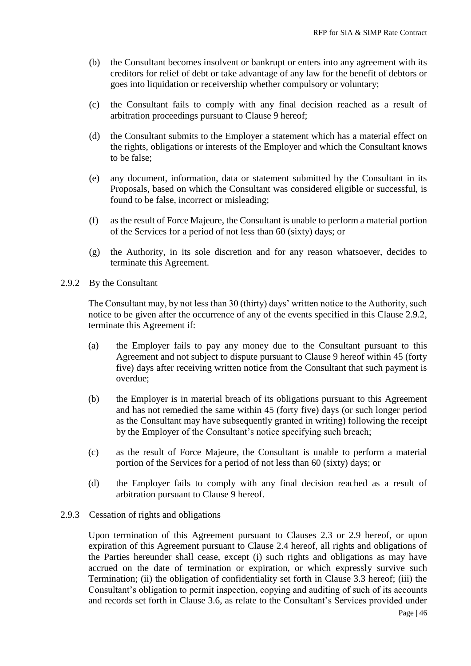- (b) the Consultant becomes insolvent or bankrupt or enters into any agreement with its creditors for relief of debt or take advantage of any law for the benefit of debtors or goes into liquidation or receivership whether compulsory or voluntary;
- (c) the Consultant fails to comply with any final decision reached as a result of arbitration proceedings pursuant to Clause 9 hereof;
- (d) the Consultant submits to the Employer a statement which has a material effect on the rights, obligations or interests of the Employer and which the Consultant knows to be false;
- (e) any document, information, data or statement submitted by the Consultant in its Proposals, based on which the Consultant was considered eligible or successful, is found to be false, incorrect or misleading;
- (f) as the result of Force Majeure, the Consultant is unable to perform a material portion of the Services for a period of not less than 60 (sixty) days; or
- (g) the Authority, in its sole discretion and for any reason whatsoever, decides to terminate this Agreement.
- 2.9.2 By the Consultant

The Consultant may, by not less than 30 (thirty) days' written notice to the Authority, such notice to be given after the occurrence of any of the events specified in this Clause 2.9.2, terminate this Agreement if:

- (a) the Employer fails to pay any money due to the Consultant pursuant to this Agreement and not subject to dispute pursuant to Clause 9 hereof within 45 (forty five) days after receiving written notice from the Consultant that such payment is overdue;
- (b) the Employer is in material breach of its obligations pursuant to this Agreement and has not remedied the same within 45 (forty five) days (or such longer period as the Consultant may have subsequently granted in writing) following the receipt by the Employer of the Consultant's notice specifying such breach;
- (c) as the result of Force Majeure, the Consultant is unable to perform a material portion of the Services for a period of not less than 60 (sixty) days; or
- (d) the Employer fails to comply with any final decision reached as a result of arbitration pursuant to Clause 9 hereof.

#### 2.9.3 Cessation of rights and obligations

Upon termination of this Agreement pursuant to Clauses 2.3 or 2.9 hereof, or upon expiration of this Agreement pursuant to Clause 2.4 hereof, all rights and obligations of the Parties hereunder shall cease, except (i) such rights and obligations as may have accrued on the date of termination or expiration, or which expressly survive such Termination; (ii) the obligation of confidentiality set forth in Clause 3.3 hereof; (iii) the Consultant's obligation to permit inspection, copying and auditing of such of its accounts and records set forth in Clause 3.6, as relate to the Consultant's Services provided under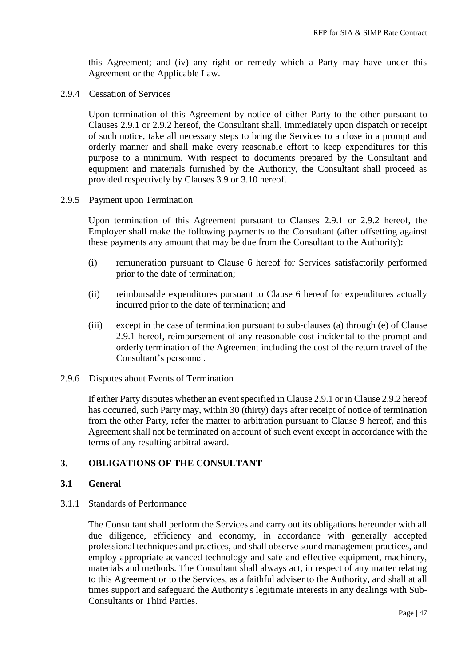this Agreement; and (iv) any right or remedy which a Party may have under this Agreement or the Applicable Law.

2.9.4 Cessation of Services

Upon termination of this Agreement by notice of either Party to the other pursuant to Clauses 2.9.1 or 2.9.2 hereof, the Consultant shall, immediately upon dispatch or receipt of such notice, take all necessary steps to bring the Services to a close in a prompt and orderly manner and shall make every reasonable effort to keep expenditures for this purpose to a minimum. With respect to documents prepared by the Consultant and equipment and materials furnished by the Authority, the Consultant shall proceed as provided respectively by Clauses 3.9 or 3.10 hereof.

2.9.5 Payment upon Termination

Upon termination of this Agreement pursuant to Clauses 2.9.1 or 2.9.2 hereof, the Employer shall make the following payments to the Consultant (after offsetting against these payments any amount that may be due from the Consultant to the Authority):

- (i) remuneration pursuant to Clause 6 hereof for Services satisfactorily performed prior to the date of termination;
- (ii) reimbursable expenditures pursuant to Clause 6 hereof for expenditures actually incurred prior to the date of termination; and
- (iii) except in the case of termination pursuant to sub-clauses (a) through (e) of Clause 2.9.1 hereof, reimbursement of any reasonable cost incidental to the prompt and orderly termination of the Agreement including the cost of the return travel of the Consultant's personnel.
- 2.9.6 Disputes about Events of Termination

If either Party disputes whether an event specified in Clause 2.9.1 or in Clause 2.9.2 hereof has occurred, such Party may, within 30 (thirty) days after receipt of notice of termination from the other Party, refer the matter to arbitration pursuant to Clause 9 hereof, and this Agreement shall not be terminated on account of such event except in accordance with the terms of any resulting arbitral award.

### **3. OBLIGATIONS OF THE CONSULTANT**

#### **3.1 General**

3.1.1 Standards of Performance

The Consultant shall perform the Services and carry out its obligations hereunder with all due diligence, efficiency and economy, in accordance with generally accepted professional techniques and practices, and shall observe sound management practices, and employ appropriate advanced technology and safe and effective equipment, machinery, materials and methods. The Consultant shall always act, in respect of any matter relating to this Agreement or to the Services, as a faithful adviser to the Authority, and shall at all times support and safeguard the Authority's legitimate interests in any dealings with Sub-Consultants or Third Parties.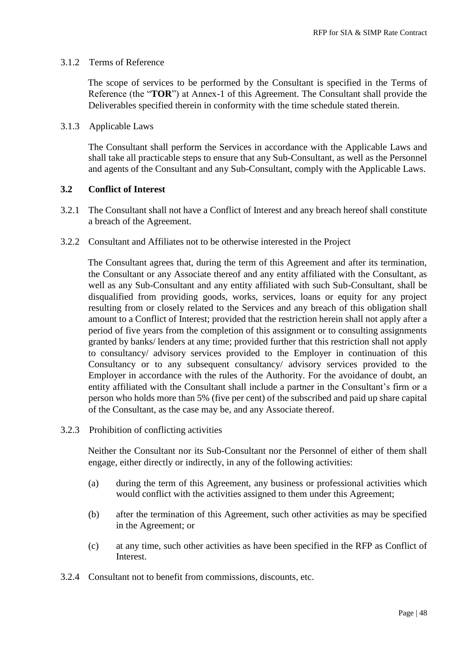#### 3.1.2 Terms of Reference

The scope of services to be performed by the Consultant is specified in the Terms of Reference (the "**TOR**") at Annex-1 of this Agreement. The Consultant shall provide the Deliverables specified therein in conformity with the time schedule stated therein.

#### 3.1.3 Applicable Laws

The Consultant shall perform the Services in accordance with the Applicable Laws and shall take all practicable steps to ensure that any Sub-Consultant, as well as the Personnel and agents of the Consultant and any Sub-Consultant, comply with the Applicable Laws.

#### **3.2 Conflict of Interest**

- 3.2.1 The Consultant shall not have a Conflict of Interest and any breach hereof shall constitute a breach of the Agreement.
- 3.2.2 Consultant and Affiliates not to be otherwise interested in the Project

The Consultant agrees that, during the term of this Agreement and after its termination, the Consultant or any Associate thereof and any entity affiliated with the Consultant, as well as any Sub-Consultant and any entity affiliated with such Sub-Consultant, shall be disqualified from providing goods, works, services, loans or equity for any project resulting from or closely related to the Services and any breach of this obligation shall amount to a Conflict of Interest; provided that the restriction herein shall not apply after a period of five years from the completion of this assignment or to consulting assignments granted by banks/ lenders at any time; provided further that this restriction shall not apply to consultancy/ advisory services provided to the Employer in continuation of this Consultancy or to any subsequent consultancy/ advisory services provided to the Employer in accordance with the rules of the Authority. For the avoidance of doubt, an entity affiliated with the Consultant shall include a partner in the Consultant's firm or a person who holds more than 5% (five per cent) of the subscribed and paid up share capital of the Consultant, as the case may be, and any Associate thereof.

3.2.3 Prohibition of conflicting activities

Neither the Consultant nor its Sub-Consultant nor the Personnel of either of them shall engage, either directly or indirectly, in any of the following activities:

- (a) during the term of this Agreement, any business or professional activities which would conflict with the activities assigned to them under this Agreement;
- (b) after the termination of this Agreement, such other activities as may be specified in the Agreement; or
- (c) at any time, such other activities as have been specified in the RFP as Conflict of Interest.
- 3.2.4 Consultant not to benefit from commissions, discounts, etc.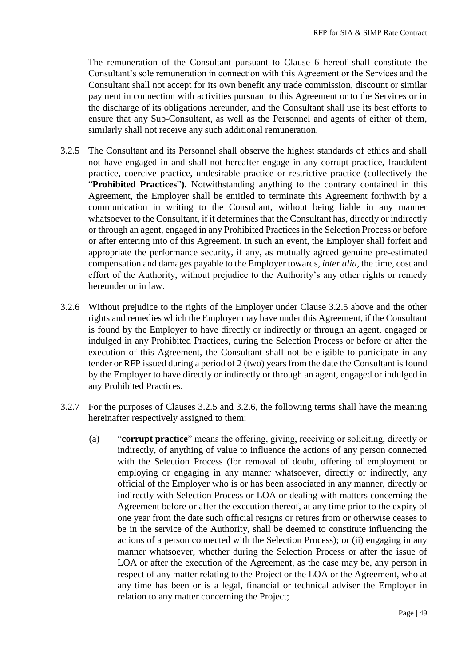The remuneration of the Consultant pursuant to Clause 6 hereof shall constitute the Consultant's sole remuneration in connection with this Agreement or the Services and the Consultant shall not accept for its own benefit any trade commission, discount or similar payment in connection with activities pursuant to this Agreement or to the Services or in the discharge of its obligations hereunder, and the Consultant shall use its best efforts to ensure that any Sub-Consultant, as well as the Personnel and agents of either of them, similarly shall not receive any such additional remuneration.

- 3.2.5 The Consultant and its Personnel shall observe the highest standards of ethics and shall not have engaged in and shall not hereafter engage in any corrupt practice, fraudulent practice, coercive practice, undesirable practice or restrictive practice (collectively the "**Prohibited Practices**"**).** Notwithstanding anything to the contrary contained in this Agreement, the Employer shall be entitled to terminate this Agreement forthwith by a communication in writing to the Consultant, without being liable in any manner whatsoever to the Consultant, if it determines that the Consultant has, directly or indirectly or through an agent, engaged in any Prohibited Practices in the Selection Process or before or after entering into of this Agreement. In such an event, the Employer shall forfeit and appropriate the performance security, if any, as mutually agreed genuine pre-estimated compensation and damages payable to the Employer towards, *inter alia*, the time, cost and effort of the Authority, without prejudice to the Authority's any other rights or remedy hereunder or in law.
- 3.2.6 Without prejudice to the rights of the Employer under Clause 3.2.5 above and the other rights and remedies which the Employer may have under this Agreement, if the Consultant is found by the Employer to have directly or indirectly or through an agent, engaged or indulged in any Prohibited Practices, during the Selection Process or before or after the execution of this Agreement, the Consultant shall not be eligible to participate in any tender or RFP issued during a period of 2 (two) years from the date the Consultant is found by the Employer to have directly or indirectly or through an agent, engaged or indulged in any Prohibited Practices.
- 3.2.7 For the purposes of Clauses 3.2.5 and 3.2.6, the following terms shall have the meaning hereinafter respectively assigned to them:
	- (a) "**corrupt practice**" means the offering, giving, receiving or soliciting, directly or indirectly, of anything of value to influence the actions of any person connected with the Selection Process (for removal of doubt, offering of employment or employing or engaging in any manner whatsoever, directly or indirectly, any official of the Employer who is or has been associated in any manner, directly or indirectly with Selection Process or LOA or dealing with matters concerning the Agreement before or after the execution thereof, at any time prior to the expiry of one year from the date such official resigns or retires from or otherwise ceases to be in the service of the Authority, shall be deemed to constitute influencing the actions of a person connected with the Selection Process); or (ii) engaging in any manner whatsoever, whether during the Selection Process or after the issue of LOA or after the execution of the Agreement, as the case may be, any person in respect of any matter relating to the Project or the LOA or the Agreement, who at any time has been or is a legal, financial or technical adviser the Employer in relation to any matter concerning the Project;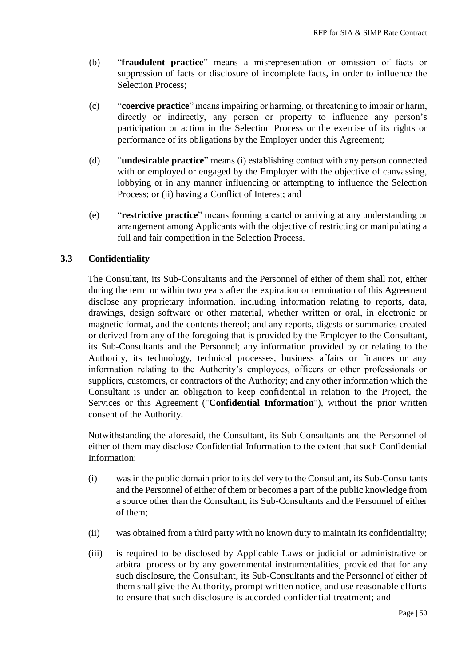- (b) "**fraudulent practice**" means a misrepresentation or omission of facts or suppression of facts or disclosure of incomplete facts, in order to influence the Selection Process;
- (c) "**coercive practice**" means impairing or harming, or threatening to impair or harm, directly or indirectly, any person or property to influence any person's participation or action in the Selection Process or the exercise of its rights or performance of its obligations by the Employer under this Agreement;
- (d) "**undesirable practice**" means (i) establishing contact with any person connected with or employed or engaged by the Employer with the objective of canvassing, lobbying or in any manner influencing or attempting to influence the Selection Process; or (ii) having a Conflict of Interest; and
- (e) "**restrictive practice**" means forming a cartel or arriving at any understanding or arrangement among Applicants with the objective of restricting or manipulating a full and fair competition in the Selection Process.

### **3.3 Confidentiality**

The Consultant, its Sub-Consultants and the Personnel of either of them shall not, either during the term or within two years after the expiration or termination of this Agreement disclose any proprietary information, including information relating to reports, data, drawings, design software or other material, whether written or oral, in electronic or magnetic format, and the contents thereof; and any reports, digests or summaries created or derived from any of the foregoing that is provided by the Employer to the Consultant, its Sub-Consultants and the Personnel; any information provided by or relating to the Authority, its technology, technical processes, business affairs or finances or any information relating to the Authority's employees, officers or other professionals or suppliers, customers, or contractors of the Authority; and any other information which the Consultant is under an obligation to keep confidential in relation to the Project, the Services or this Agreement ("**Confidential Information**"), without the prior written consent of the Authority.

Notwithstanding the aforesaid, the Consultant, its Sub-Consultants and the Personnel of either of them may disclose Confidential Information to the extent that such Confidential Information:

- (i) was in the public domain prior to its delivery to the Consultant, its Sub-Consultants and the Personnel of either of them or becomes a part of the public knowledge from a source other than the Consultant, its Sub-Consultants and the Personnel of either of them;
- (ii) was obtained from a third party with no known duty to maintain its confidentiality;
- (iii) is required to be disclosed by Applicable Laws or judicial or administrative or arbitral process or by any governmental instrumentalities, provided that for any such disclosure, the Consultant, its Sub-Consultants and the Personnel of either of them shall give the Authority, prompt written notice, and use reasonable efforts to ensure that such disclosure is accorded confidential treatment; and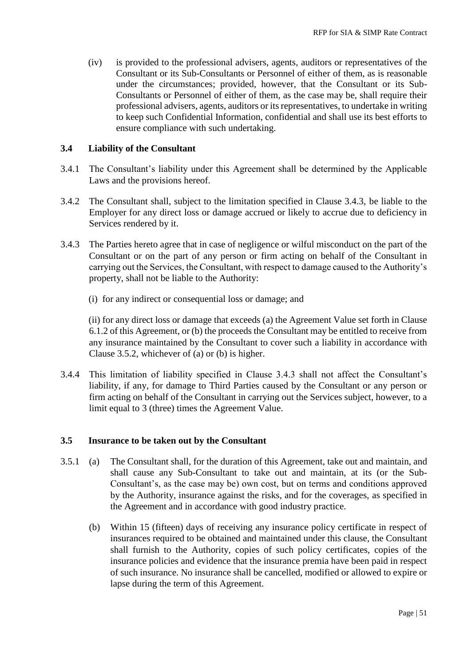(iv) is provided to the professional advisers, agents, auditors or representatives of the Consultant or its Sub-Consultants or Personnel of either of them, as is reasonable under the circumstances; provided, however, that the Consultant or its Sub-Consultants or Personnel of either of them, as the case may be, shall require their professional advisers, agents, auditors or its representatives, to undertake in writing to keep such Confidential Information, confidential and shall use its best efforts to ensure compliance with such undertaking.

#### **3.4 Liability of the Consultant**

- 3.4.1 The Consultant's liability under this Agreement shall be determined by the Applicable Laws and the provisions hereof.
- 3.4.2 The Consultant shall, subject to the limitation specified in Clause 3.4.3, be liable to the Employer for any direct loss or damage accrued or likely to accrue due to deficiency in Services rendered by it.
- 3.4.3 The Parties hereto agree that in case of negligence or wilful misconduct on the part of the Consultant or on the part of any person or firm acting on behalf of the Consultant in carrying out the Services, the Consultant, with respect to damage caused to the Authority's property, shall not be liable to the Authority:
	- (i) for any indirect or consequential loss or damage; and

(ii) for any direct loss or damage that exceeds (a) the Agreement Value set forth in Clause 6.1.2 of this Agreement, or (b) the proceeds the Consultant may be entitled to receive from any insurance maintained by the Consultant to cover such a liability in accordance with Clause 3.5.2, whichever of (a) or (b) is higher.

3.4.4 This limitation of liability specified in Clause 3.4.3 shall not affect the Consultant's liability, if any, for damage to Third Parties caused by the Consultant or any person or firm acting on behalf of the Consultant in carrying out the Services subject, however, to a limit equal to 3 (three) times the Agreement Value.

#### **3.5 Insurance to be taken out by the Consultant**

- 3.5.1 (a) The Consultant shall, for the duration of this Agreement, take out and maintain, and shall cause any Sub-Consultant to take out and maintain, at its (or the Sub-Consultant's, as the case may be) own cost, but on terms and conditions approved by the Authority, insurance against the risks, and for the coverages, as specified in the Agreement and in accordance with good industry practice.
	- (b) Within 15 (fifteen) days of receiving any insurance policy certificate in respect of insurances required to be obtained and maintained under this clause, the Consultant shall furnish to the Authority, copies of such policy certificates, copies of the insurance policies and evidence that the insurance premia have been paid in respect of such insurance. No insurance shall be cancelled, modified or allowed to expire or lapse during the term of this Agreement.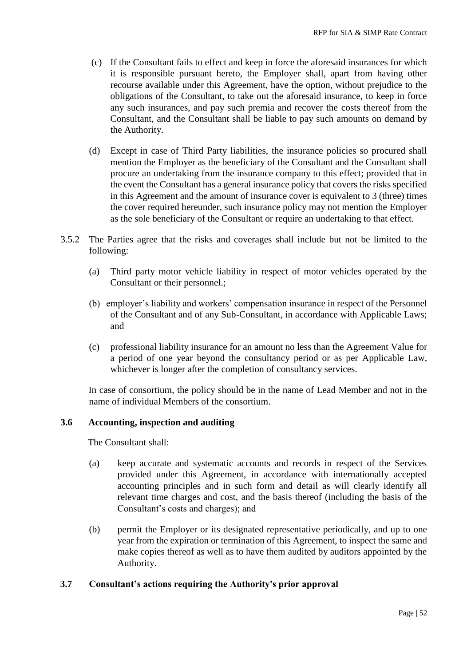- (c) If the Consultant fails to effect and keep in force the aforesaid insurances for which it is responsible pursuant hereto, the Employer shall, apart from having other recourse available under this Agreement, have the option, without prejudice to the obligations of the Consultant, to take out the aforesaid insurance, to keep in force any such insurances, and pay such premia and recover the costs thereof from the Consultant, and the Consultant shall be liable to pay such amounts on demand by the Authority.
- (d) Except in case of Third Party liabilities, the insurance policies so procured shall mention the Employer as the beneficiary of the Consultant and the Consultant shall procure an undertaking from the insurance company to this effect; provided that in the event the Consultant has a general insurance policy that covers the risks specified in this Agreement and the amount of insurance cover is equivalent to 3 (three) times the cover required hereunder, such insurance policy may not mention the Employer as the sole beneficiary of the Consultant or require an undertaking to that effect.
- 3.5.2 The Parties agree that the risks and coverages shall include but not be limited to the following:
	- (a) Third party motor vehicle liability in respect of motor vehicles operated by the Consultant or their personnel.;
	- (b) employer's liability and workers' compensation insurance in respect of the Personnel of the Consultant and of any Sub-Consultant, in accordance with Applicable Laws; and
	- (c) professional liability insurance for an amount no less than the Agreement Value for a period of one year beyond the consultancy period or as per Applicable Law, whichever is longer after the completion of consultancy services.

In case of consortium, the policy should be in the name of Lead Member and not in the name of individual Members of the consortium.

#### **3.6 Accounting, inspection and auditing**

The Consultant shall:

- (a) keep accurate and systematic accounts and records in respect of the Services provided under this Agreement, in accordance with internationally accepted accounting principles and in such form and detail as will clearly identify all relevant time charges and cost, and the basis thereof (including the basis of the Consultant's costs and charges); and
- (b) permit the Employer or its designated representative periodically, and up to one year from the expiration or termination of this Agreement, to inspect the same and make copies thereof as well as to have them audited by auditors appointed by the Authority.

#### **3.7 Consultant's actions requiring the Authority's prior approval**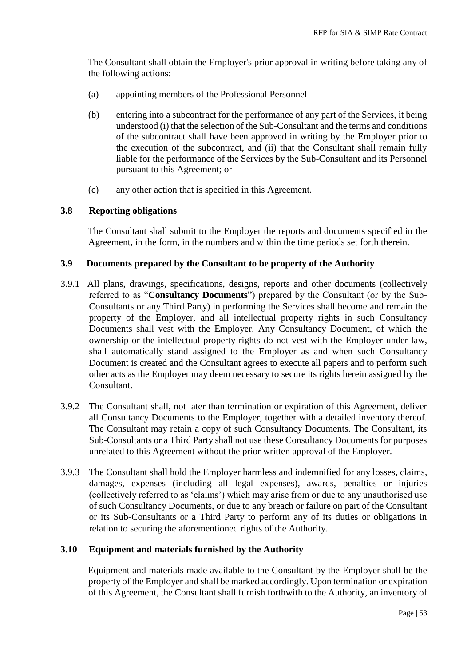The Consultant shall obtain the Employer's prior approval in writing before taking any of the following actions:

- (a) appointing members of the Professional Personnel
- (b) entering into a subcontract for the performance of any part of the Services, it being understood (i) that the selection of the Sub-Consultant and the terms and conditions of the subcontract shall have been approved in writing by the Employer prior to the execution of the subcontract, and (ii) that the Consultant shall remain fully liable for the performance of the Services by the Sub-Consultant and its Personnel pursuant to this Agreement; or
- (c) any other action that is specified in this Agreement.

#### **3.8 Reporting obligations**

The Consultant shall submit to the Employer the reports and documents specified in the Agreement, in the form, in the numbers and within the time periods set forth therein.

#### **3.9 Documents prepared by the Consultant to be property of the Authority**

- 3.9.1 All plans, drawings, specifications, designs, reports and other documents (collectively referred to as "**Consultancy Documents**") prepared by the Consultant (or by the Sub-Consultants or any Third Party) in performing the Services shall become and remain the property of the Employer, and all intellectual property rights in such Consultancy Documents shall vest with the Employer. Any Consultancy Document, of which the ownership or the intellectual property rights do not vest with the Employer under law, shall automatically stand assigned to the Employer as and when such Consultancy Document is created and the Consultant agrees to execute all papers and to perform such other acts as the Employer may deem necessary to secure its rights herein assigned by the Consultant.
- 3.9.2 The Consultant shall, not later than termination or expiration of this Agreement, deliver all Consultancy Documents to the Employer, together with a detailed inventory thereof. The Consultant may retain a copy of such Consultancy Documents. The Consultant, its Sub-Consultants or a Third Party shall not use these Consultancy Documents for purposes unrelated to this Agreement without the prior written approval of the Employer.
- 3.9.3 The Consultant shall hold the Employer harmless and indemnified for any losses, claims, damages, expenses (including all legal expenses), awards, penalties or injuries (collectively referred to as 'claims') which may arise from or due to any unauthorised use of such Consultancy Documents, or due to any breach or failure on part of the Consultant or its Sub-Consultants or a Third Party to perform any of its duties or obligations in relation to securing the aforementioned rights of the Authority.

#### **3.10 Equipment and materials furnished by the Authority**

Equipment and materials made available to the Consultant by the Employer shall be the property of the Employer and shall be marked accordingly. Upon termination or expiration of this Agreement, the Consultant shall furnish forthwith to the Authority, an inventory of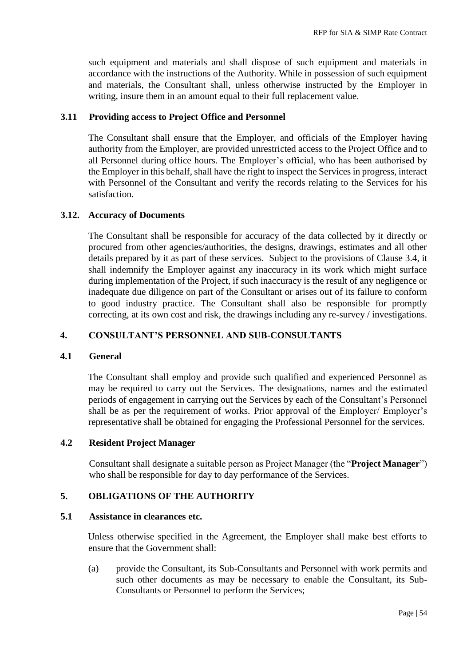such equipment and materials and shall dispose of such equipment and materials in accordance with the instructions of the Authority. While in possession of such equipment and materials, the Consultant shall, unless otherwise instructed by the Employer in writing, insure them in an amount equal to their full replacement value.

#### **3.11 Providing access to Project Office and Personnel**

The Consultant shall ensure that the Employer, and officials of the Employer having authority from the Employer, are provided unrestricted access to the Project Office and to all Personnel during office hours. The Employer's official, who has been authorised by the Employer in this behalf, shall have the right to inspect the Services in progress, interact with Personnel of the Consultant and verify the records relating to the Services for his satisfaction.

#### **3.12. Accuracy of Documents**

The Consultant shall be responsible for accuracy of the data collected by it directly or procured from other agencies/authorities, the designs, drawings, estimates and all other details prepared by it as part of these services. Subject to the provisions of Clause 3.4, it shall indemnify the Employer against any inaccuracy in its work which might surface during implementation of the Project, if such inaccuracy is the result of any negligence or inadequate due diligence on part of the Consultant or arises out of its failure to conform to good industry practice. The Consultant shall also be responsible for promptly correcting, at its own cost and risk, the drawings including any re-survey / investigations.

### **4. CONSULTANT'S PERSONNEL AND SUB-CONSULTANTS**

#### **4.1 General**

The Consultant shall employ and provide such qualified and experienced Personnel as may be required to carry out the Services. The designations, names and the estimated periods of engagement in carrying out the Services by each of the Consultant's Personnel shall be as per the requirement of works. Prior approval of the Employer/ Employer's representative shall be obtained for engaging the Professional Personnel for the services.

#### **4.2 Resident Project Manager**

Consultant shall designate a suitable person as Project Manager (the "**Project Manager**") who shall be responsible for day to day performance of the Services.

#### **5. OBLIGATIONS OF THE AUTHORITY**

#### **5.1 Assistance in clearances etc.**

Unless otherwise specified in the Agreement, the Employer shall make best efforts to ensure that the Government shall:

(a) provide the Consultant, its Sub-Consultants and Personnel with work permits and such other documents as may be necessary to enable the Consultant, its Sub-Consultants or Personnel to perform the Services;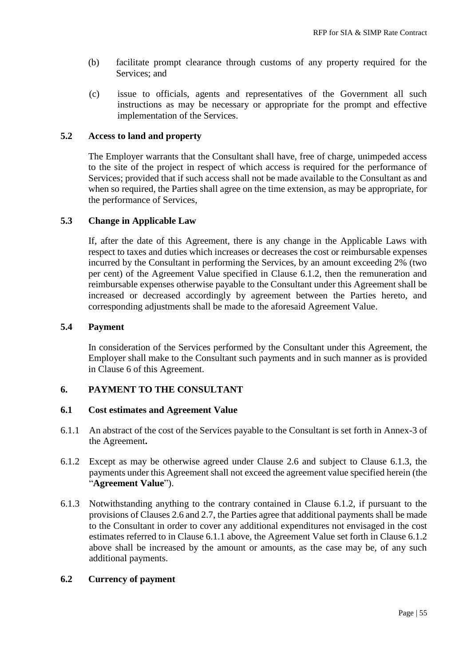- (b) facilitate prompt clearance through customs of any property required for the Services; and
- (c) issue to officials, agents and representatives of the Government all such instructions as may be necessary or appropriate for the prompt and effective implementation of the Services.

#### **5.2 Access to land and property**

The Employer warrants that the Consultant shall have, free of charge, unimpeded access to the site of the project in respect of which access is required for the performance of Services; provided that if such access shall not be made available to the Consultant as and when so required, the Parties shall agree on the time extension, as may be appropriate, for the performance of Services,

#### **5.3 Change in Applicable Law**

If, after the date of this Agreement, there is any change in the Applicable Laws with respect to taxes and duties which increases or decreases the cost or reimbursable expenses incurred by the Consultant in performing the Services, by an amount exceeding 2% (two per cent) of the Agreement Value specified in Clause 6.1.2, then the remuneration and reimbursable expenses otherwise payable to the Consultant under this Agreement shall be increased or decreased accordingly by agreement between the Parties hereto, and corresponding adjustments shall be made to the aforesaid Agreement Value.

#### **5.4 Payment**

In consideration of the Services performed by the Consultant under this Agreement, the Employer shall make to the Consultant such payments and in such manner as is provided in Clause 6 of this Agreement.

#### **6. PAYMENT TO THE CONSULTANT**

#### **6.1 Cost estimates and Agreement Value**

- 6.1.1 An abstract of the cost of the Services payable to the Consultant is set forth in Annex-3 of the Agreement**.**
- 6.1.2 Except as may be otherwise agreed under Clause 2.6 and subject to Clause 6.1.3, the payments under this Agreement shall not exceed the agreement value specified herein (the "**Agreement Value**").
- 6.1.3 Notwithstanding anything to the contrary contained in Clause 6.1.2, if pursuant to the provisions of Clauses 2.6 and 2.7, the Parties agree that additional payments shall be made to the Consultant in order to cover any additional expenditures not envisaged in the cost estimates referred to in Clause 6.1.1 above, the Agreement Value set forth in Clause 6.1.2 above shall be increased by the amount or amounts, as the case may be, of any such additional payments.

#### **6.2 Currency of payment**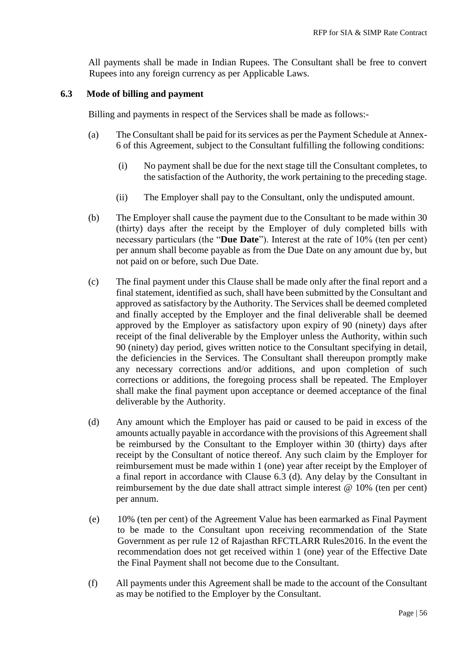All payments shall be made in Indian Rupees. The Consultant shall be free to convert Rupees into any foreign currency as per Applicable Laws.

#### **6.3 Mode of billing and payment**

Billing and payments in respect of the Services shall be made as follows:-

- (a) The Consultant shall be paid for its services as per the Payment Schedule at Annex-6 of this Agreement, subject to the Consultant fulfilling the following conditions:
	- (i) No payment shall be due for the next stage till the Consultant completes, to the satisfaction of the Authority, the work pertaining to the preceding stage.
	- (ii) The Employer shall pay to the Consultant, only the undisputed amount.
- (b) The Employer shall cause the payment due to the Consultant to be made within 30 (thirty) days after the receipt by the Employer of duly completed bills with necessary particulars (the "**Due Date**"). Interest at the rate of 10% (ten per cent) per annum shall become payable as from the Due Date on any amount due by, but not paid on or before, such Due Date.
- (c) The final payment under this Clause shall be made only after the final report and a final statement, identified as such, shall have been submitted by the Consultant and approved as satisfactory by the Authority. The Services shall be deemed completed and finally accepted by the Employer and the final deliverable shall be deemed approved by the Employer as satisfactory upon expiry of 90 (ninety) days after receipt of the final deliverable by the Employer unless the Authority, within such 90 (ninety) day period, gives written notice to the Consultant specifying in detail, the deficiencies in the Services. The Consultant shall thereupon promptly make any necessary corrections and/or additions, and upon completion of such corrections or additions, the foregoing process shall be repeated. The Employer shall make the final payment upon acceptance or deemed acceptance of the final deliverable by the Authority.
- (d) Any amount which the Employer has paid or caused to be paid in excess of the amounts actually payable in accordance with the provisions of this Agreement shall be reimbursed by the Consultant to the Employer within 30 (thirty) days after receipt by the Consultant of notice thereof. Any such claim by the Employer for reimbursement must be made within 1 (one) year after receipt by the Employer of a final report in accordance with Clause 6.3 (d). Any delay by the Consultant in reimbursement by the due date shall attract simple interest @ 10% (ten per cent) per annum.
- (e) 10% (ten per cent) of the Agreement Value has been earmarked as Final Payment to be made to the Consultant upon receiving recommendation of the State Government as per rule 12 of Rajasthan RFCTLARR Rules2016. In the event the recommendation does not get received within 1 (one) year of the Effective Date the Final Payment shall not become due to the Consultant.
- (f) All payments under this Agreement shall be made to the account of the Consultant as may be notified to the Employer by the Consultant.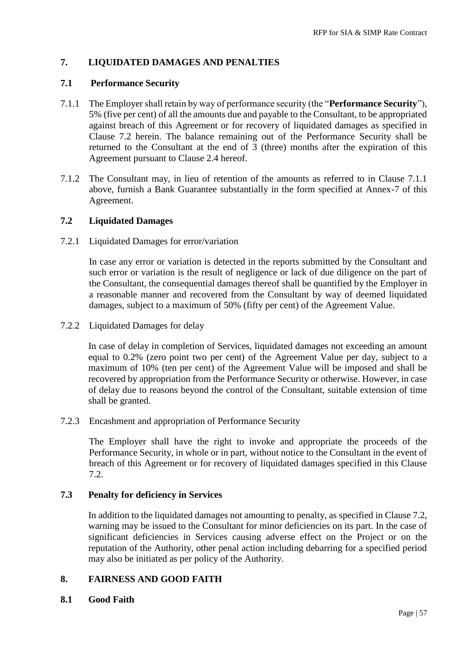### **7. LIQUIDATED DAMAGES AND PENALTIES**

#### **7.1 Performance Security**

- 7.1.1 The Employer shall retain by way of performance security (the "**Performance Security**"), 5% (five per cent) of all the amounts due and payable to the Consultant, to be appropriated against breach of this Agreement or for recovery of liquidated damages as specified in Clause 7.2 herein. The balance remaining out of the Performance Security shall be returned to the Consultant at the end of 3 (three) months after the expiration of this Agreement pursuant to Clause 2.4 hereof.
- 7.1.2 The Consultant may, in lieu of retention of the amounts as referred to in Clause 7.1.1 above, furnish a Bank Guarantee substantially in the form specified at Annex-7 of this Agreement.

#### **7.2 Liquidated Damages**

7.2.1 Liquidated Damages for error/variation

In case any error or variation is detected in the reports submitted by the Consultant and such error or variation is the result of negligence or lack of due diligence on the part of the Consultant, the consequential damages thereof shall be quantified by the Employer in a reasonable manner and recovered from the Consultant by way of deemed liquidated damages, subject to a maximum of 50% (fifty per cent) of the Agreement Value.

7.2.2 Liquidated Damages for delay

In case of delay in completion of Services, liquidated damages not exceeding an amount equal to 0.2% (zero point two per cent) of the Agreement Value per day, subject to a maximum of 10% (ten per cent) of the Agreement Value will be imposed and shall be recovered by appropriation from the Performance Security or otherwise. However, in case of delay due to reasons beyond the control of the Consultant, suitable extension of time shall be granted.

7.2.3 Encashment and appropriation of Performance Security

The Employer shall have the right to invoke and appropriate the proceeds of the Performance Security, in whole or in part, without notice to the Consultant in the event of breach of this Agreement or for recovery of liquidated damages specified in this Clause 7.2.

#### **7.3 Penalty for deficiency in Services**

In addition to the liquidated damages not amounting to penalty, as specified in Clause 7.2, warning may be issued to the Consultant for minor deficiencies on its part. In the case of significant deficiencies in Services causing adverse effect on the Project or on the reputation of the Authority, other penal action including debarring for a specified period may also be initiated as per policy of the Authority.

#### **8. FAIRNESS AND GOOD FAITH**

#### **8.1 Good Faith**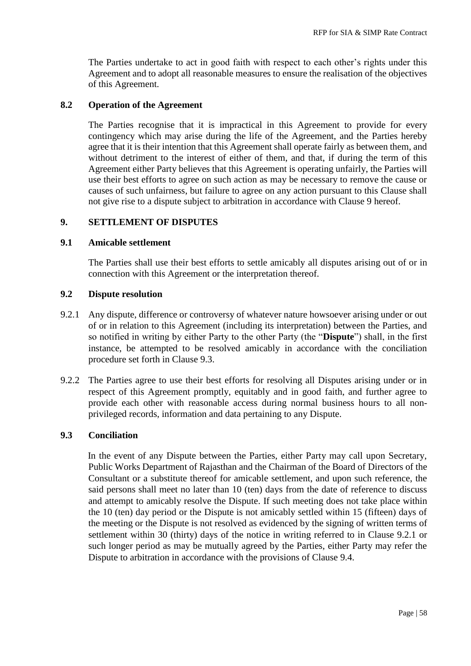The Parties undertake to act in good faith with respect to each other's rights under this Agreement and to adopt all reasonable measures to ensure the realisation of the objectives of this Agreement.

#### **8.2 Operation of the Agreement**

The Parties recognise that it is impractical in this Agreement to provide for every contingency which may arise during the life of the Agreement, and the Parties hereby agree that it is their intention that this Agreement shall operate fairly as between them, and without detriment to the interest of either of them, and that, if during the term of this Agreement either Party believes that this Agreement is operating unfairly, the Parties will use their best efforts to agree on such action as may be necessary to remove the cause or causes of such unfairness, but failure to agree on any action pursuant to this Clause shall not give rise to a dispute subject to arbitration in accordance with Clause 9 hereof.

#### **9. SETTLEMENT OF DISPUTES**

#### **9.1 Amicable settlement**

The Parties shall use their best efforts to settle amicably all disputes arising out of or in connection with this Agreement or the interpretation thereof.

#### **9.2 Dispute resolution**

- 9.2.1 Any dispute, difference or controversy of whatever nature howsoever arising under or out of or in relation to this Agreement (including its interpretation) between the Parties, and so notified in writing by either Party to the other Party (the "**Dispute**") shall, in the first instance, be attempted to be resolved amicably in accordance with the conciliation procedure set forth in Clause 9.3.
- 9.2.2 The Parties agree to use their best efforts for resolving all Disputes arising under or in respect of this Agreement promptly, equitably and in good faith, and further agree to provide each other with reasonable access during normal business hours to all nonprivileged records, information and data pertaining to any Dispute.

#### **9.3 Conciliation**

In the event of any Dispute between the Parties, either Party may call upon Secretary, Public Works Department of Rajasthan and the Chairman of the Board of Directors of the Consultant or a substitute thereof for amicable settlement, and upon such reference, the said persons shall meet no later than 10 (ten) days from the date of reference to discuss and attempt to amicably resolve the Dispute. If such meeting does not take place within the 10 (ten) day period or the Dispute is not amicably settled within 15 (fifteen) days of the meeting or the Dispute is not resolved as evidenced by the signing of written terms of settlement within 30 (thirty) days of the notice in writing referred to in Clause 9.2.1 or such longer period as may be mutually agreed by the Parties, either Party may refer the Dispute to arbitration in accordance with the provisions of Clause 9.4.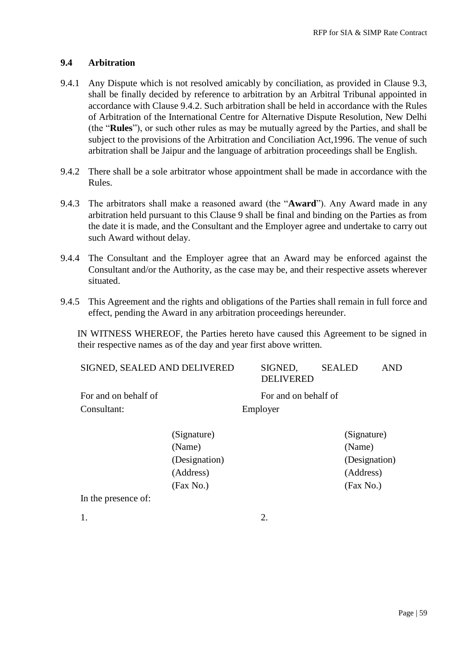#### **9.4 Arbitration**

- 9.4.1 Any Dispute which is not resolved amicably by conciliation, as provided in Clause 9.3, shall be finally decided by reference to arbitration by an Arbitral Tribunal appointed in accordance with Clause 9.4.2. Such arbitration shall be held in accordance with the Rules of Arbitration of the International Centre for Alternative Dispute Resolution, New Delhi (the "**Rules**"), or such other rules as may be mutually agreed by the Parties, and shall be subject to the provisions of the Arbitration and Conciliation Act,1996. The venue of such arbitration shall be Jaipur and the language of arbitration proceedings shall be English.
- 9.4.2 There shall be a sole arbitrator whose appointment shall be made in accordance with the Rules.
- 9.4.3 The arbitrators shall make a reasoned award (the "**Award**"). Any Award made in any arbitration held pursuant to this Clause 9 shall be final and binding on the Parties as from the date it is made, and the Consultant and the Employer agree and undertake to carry out such Award without delay.
- 9.4.4 The Consultant and the Employer agree that an Award may be enforced against the Consultant and/or the Authority, as the case may be, and their respective assets wherever situated.
- 9.4.5 This Agreement and the rights and obligations of the Parties shall remain in full force and effect, pending the Award in any arbitration proceedings hereunder.

IN WITNESS WHEREOF, the Parties hereto have caused this Agreement to be signed in their respective names as of the day and year first above written.

| SIGNED, SEALED AND DELIVERED        |                                                                  |                                  | SIGNED,<br><b>DELIVERED</b> | <b>SEALED</b> |                                                                  | <b>AND</b> |
|-------------------------------------|------------------------------------------------------------------|----------------------------------|-----------------------------|---------------|------------------------------------------------------------------|------------|
| For and on behalf of<br>Consultant: |                                                                  | For and on behalf of<br>Employer |                             |               |                                                                  |            |
|                                     | (Signature)<br>(Name)<br>(Designation)<br>(Address)<br>(Fax No.) |                                  |                             |               | (Signature)<br>(Name)<br>(Designation)<br>(Address)<br>(Fax No.) |            |
| In the presence of:                 |                                                                  |                                  |                             |               |                                                                  |            |
| 1.                                  |                                                                  |                                  | 2.                          |               |                                                                  |            |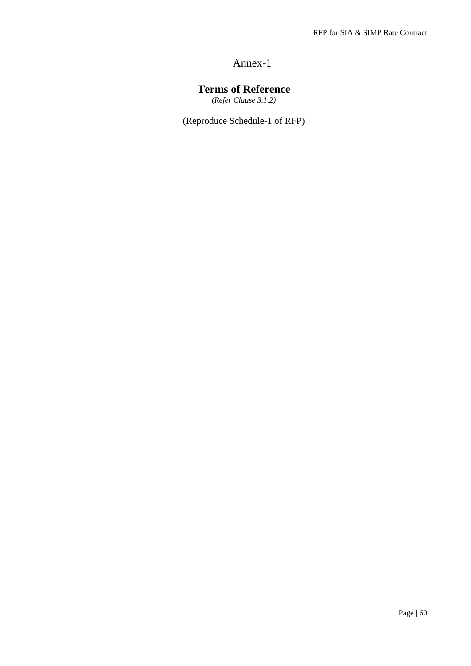# **Terms of Reference**

*(Refer Clause 3.1.2)*

(Reproduce Schedule-1 of RFP)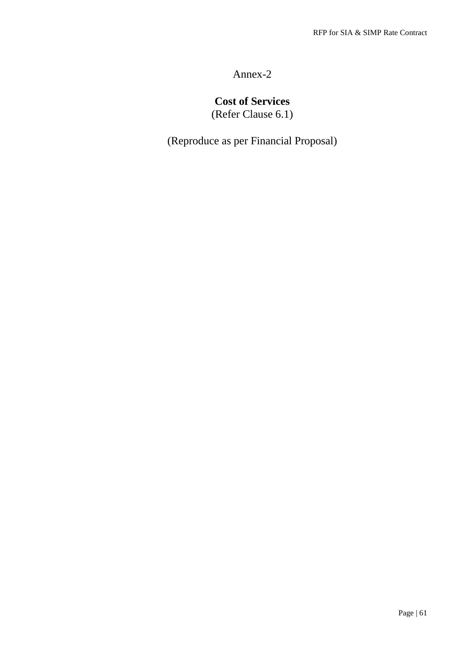# **Cost of Services**

(Refer Clause 6.1)

(Reproduce as per Financial Proposal)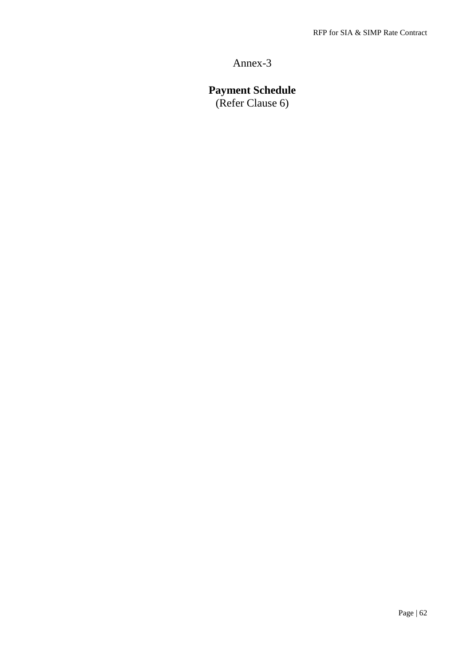# **Payment Schedule**

(Refer Clause 6)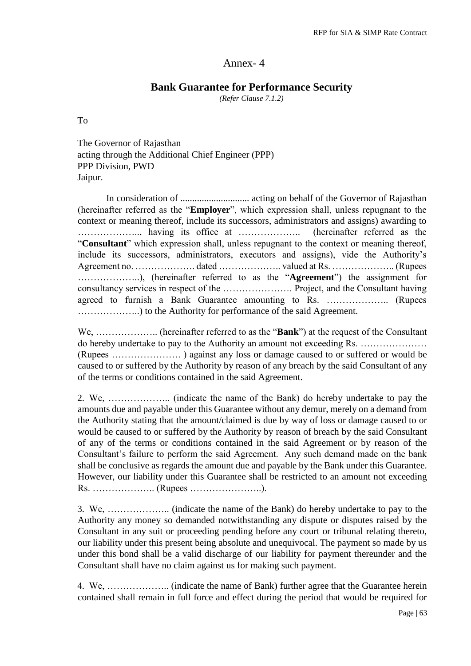#### **Bank Guarantee for Performance Security**

*(Refer Clause 7.1.2)*

To

The Governor of Rajasthan acting through the Additional Chief Engineer (PPP) PPP Division, PWD Jaipur.

In consideration of ............................. acting on behalf of the Governor of Rajasthan (hereinafter referred as the "**Employer**", which expression shall, unless repugnant to the context or meaning thereof, include its successors, administrators and assigns) awarding to ……………….., having its office at ……………….. (hereinafter referred as the "**Consultant**" which expression shall, unless repugnant to the context or meaning thereof, include its successors, administrators, executors and assigns), vide the Authority's Agreement no. ………………. dated ……………….. valued at Rs. ……………….. (Rupees ………………..), (hereinafter referred to as the "**Agreement**") the assignment for consultancy services in respect of the …………………. Project, and the Consultant having agreed to furnish a Bank Guarantee amounting to Rs. ……………….. (Rupees ………………..) to the Authority for performance of the said Agreement.

We, ……………….. (hereinafter referred to as the "**Bank**") at the request of the Consultant do hereby undertake to pay to the Authority an amount not exceeding Rs. ………………… (Rupees …………………. ) against any loss or damage caused to or suffered or would be caused to or suffered by the Authority by reason of any breach by the said Consultant of any of the terms or conditions contained in the said Agreement.

2. We, ……………….. (indicate the name of the Bank) do hereby undertake to pay the amounts due and payable under this Guarantee without any demur, merely on a demand from the Authority stating that the amount/claimed is due by way of loss or damage caused to or would be caused to or suffered by the Authority by reason of breach by the said Consultant of any of the terms or conditions contained in the said Agreement or by reason of the Consultant's failure to perform the said Agreement. Any such demand made on the bank shall be conclusive as regards the amount due and payable by the Bank under this Guarantee. However, our liability under this Guarantee shall be restricted to an amount not exceeding Rs. ……………….. (Rupees …………………..).

3. We, ……………….. (indicate the name of the Bank) do hereby undertake to pay to the Authority any money so demanded notwithstanding any dispute or disputes raised by the Consultant in any suit or proceeding pending before any court or tribunal relating thereto, our liability under this present being absolute and unequivocal. The payment so made by us under this bond shall be a valid discharge of our liability for payment thereunder and the Consultant shall have no claim against us for making such payment.

4. We, ……………….. (indicate the name of Bank) further agree that the Guarantee herein contained shall remain in full force and effect during the period that would be required for